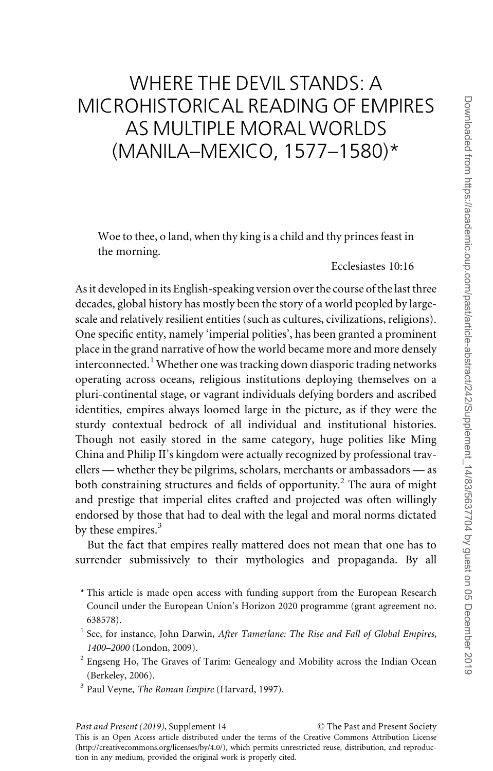# WHERE THE DEVIL STANDS: A MICROHISTORICAL READING OF EMPIRES AS MULTIPLE MORALWORLDS (MANILA–MEXICO, 1577–1580)\*

Woe to thee, o land, when thy king is a child and thy princes feast in the morning.

# Ecclesiastes 10:16

As it developed in its English-speaking version over the course of the last three decades, global history has mostly been the story of a world peopled by largescale and relatively resilient entities (such as cultures, civilizations, religions). One specific entity, namely 'imperial polities', has been granted a prominent place in the grand narrative of how the world became more and more densely interconnected.<sup>1</sup> Whether one was tracking down diasporic trading networks operating across oceans, religious institutions deploying themselves on a pluri-continental stage, or vagrant individuals defying borders and ascribed identities, empires always loomed large in the picture, as if they were the sturdy contextual bedrock of all individual and institutional histories. Though not easily stored in the same category, huge polities like Ming China and Philip II's kingdom were actually recognized by professional travellers — whether they be pilgrims, scholars, merchants or ambassadors — as both constraining structures and fields of opportunity.<sup>2</sup> The aura of might and prestige that imperial elites crafted and projected was often willingly endorsed by those that had to deal with the legal and moral norms dictated by these empires.<sup>3</sup>

But the fact that empires really mattered does not mean that one has to surrender submissively to their mythologies and propaganda. By all

- \* This article is made open access with funding support from the European Research Council under the European Union's Horizon 2020 programme (grant agreement no. 638578).
- $<sup>1</sup>$  See, for instance, John Darwin, After Tamerlane: The Rise and Fall of Global Empires,</sup> 1400–2000 (London, 2009).
- $2$  Engseng Ho, The Graves of Tarim: Genealogy and Mobility across the Indian Ocean (Berkeley, 2006).
- $3$  Paul Veyne, *The Roman Empire* (Harvard, 1997).

The Past and Present Society

This is an Open Access article distributed under the terms of the Creative Commons Attribution License [\(http://creativecommons.org/licenses/by/4.0/\)](XPath error Undefined namespace prefix), which permits unrestricted reuse, distribution, and reproduction in any medium, provided the original work is properly cited.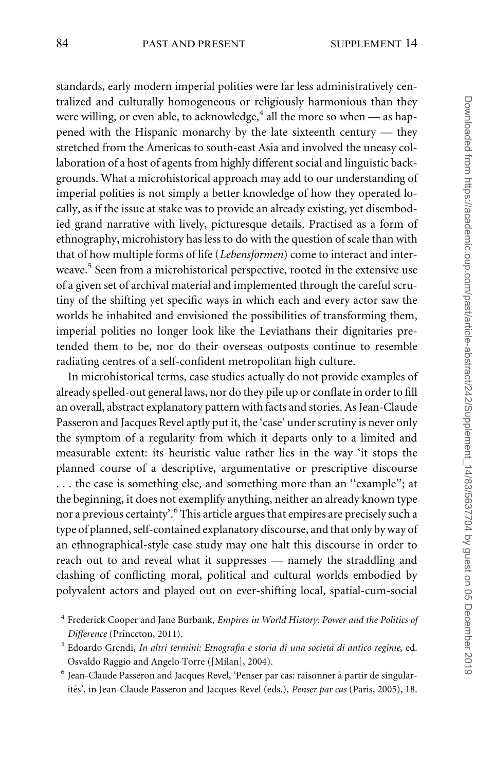standards, early modern imperial polities were far less administratively centralized and culturally homogeneous or religiously harmonious than they were willing, or even able, to acknowledge,  $4$  all the more so when — as happened with the Hispanic monarchy by the late sixteenth century — they stretched from the Americas to south-east Asia and involved the uneasy collaboration of a host of agents from highly different social and linguistic backgrounds. What a microhistorical approach may add to our understanding of imperial polities is not simply a better knowledge of how they operated locally, as if the issue at stake was to provide an already existing, yet disembodied grand narrative with lively, picturesque details. Practised as a form of ethnography, microhistory has less to do with the question of scale than with that of how multiple forms of life (Lebensformen) come to interact and interweave.<sup>5</sup> Seen from a microhistorical perspective, rooted in the extensive use of a given set of archival material and implemented through the careful scrutiny of the shifting yet specific ways in which each and every actor saw the worlds he inhabited and envisioned the possibilities of transforming them, imperial polities no longer look like the Leviathans their dignitaries pretended them to be, nor do their overseas outposts continue to resemble radiating centres of a self-confident metropolitan high culture.

In microhistorical terms, case studies actually do not provide examples of already spelled-out general laws, nor do they pile up or conflate in order to fill an overall, abstract explanatory pattern with facts and stories. As Jean-Claude Passeron and Jacques Revel aptly put it, the 'case' under scrutiny is never only the symptom of a regularity from which it departs only to a limited and measurable extent: its heuristic value rather lies in the way 'it stops the planned course of a descriptive, argumentative or prescriptive discourse . . . the case is something else, and something more than an ''example''; at the beginning, it does not exemplify anything, neither an already known type nor a previous certainty'.<sup>6</sup> This article argues that empires are precisely such a type of planned, self-contained explanatory discourse, and that only by way of an ethnographical-style case study may one halt this discourse in order to reach out to and reveal what it suppresses — namely the straddling and clashing of conflicting moral, political and cultural worlds embodied by polyvalent actors and played out on ever-shifting local, spatial-cum-social

<sup>&</sup>lt;sup>4</sup> Frederick Cooper and Jane Burbank, Empires in World History: Power and the Politics of Difference (Princeton, 2011).

<sup>&</sup>lt;sup>5</sup> Edoardo Grendi, In altri termini: Etnografia e storia di una società di antico regime, ed. Osvaldo Raggio and Angelo Torre ([Milan], 2004).

<sup>&</sup>lt;sup>6</sup> Jean-Claude Passeron and Jacques Revel, 'Penser par cas: raisonner à partir de singularités', in Jean-Claude Passeron and Jacques Revel (eds.), Penser par cas (Paris, 2005), 18.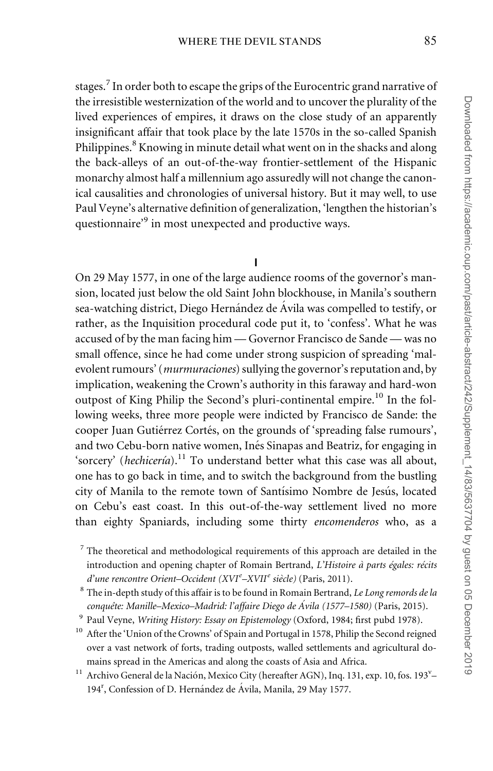stages.<sup>7</sup> In order both to escape the grips of the Eurocentric grand narrative of the irresistible westernization of the world and to uncover the plurality of the lived experiences of empires, it draws on the close study of an apparently insignificant affair that took place by the late 1570s in the so-called Spanish Philippines.<sup>8</sup> Knowing in minute detail what went on in the shacks and along the back-alleys of an out-of-the-way frontier-settlement of the Hispanic monarchy almost half a millennium ago assuredly will not change the canonical causalities and chronologies of universal history. But it may well, to use Paul Veyne's alternative definition of generalization, 'lengthen the historian's questionnaire<sup>'9</sup> in most unexpected and productive ways.

## I

On 29 May 1577, in one of the large audience rooms of the governor's mansion, located just below the old Saint John blockhouse, in Manila's southern sea-watching district, Diego Hernández de Ávila was compelled to testify, or rather, as the Inquisition procedural code put it, to 'confess'. What he was accused of by the man facing him — Governor Francisco de Sande — was no small offence, since he had come under strong suspicion of spreading 'malevolent rumours' (murmuraciones) sullying the governor's reputation and, by implication, weakening the Crown's authority in this faraway and hard-won outpost of King Philip the Second's pluri-continental empire.<sup>10</sup> In the following weeks, three more people were indicted by Francisco de Sande: the cooper Juan Gutiérrez Cortés, on the grounds of 'spreading false rumours', and two Cebu-born native women, Inés Sinapas and Beatriz, for engaging in 'sorcery' (hechicería).<sup>11</sup> To understand better what this case was all about, one has to go back in time, and to switch the background from the bustling city of Manila to the remote town of Santísimo Nombre de Jesús, located on Cebu's east coast. In this out-of-the-way settlement lived no more than eighty Spaniards, including some thirty encomenderos who, as a

 $<sup>7</sup>$  The theoretical and methodological requirements of this approach are detailed in the</sup> introduction and opening chapter of Romain Bertrand, L'Histoire à parts égales: récits d'une rencontre Orient-Occident (XVIe-XVII<sup>e</sup> siècle) (Paris, 2011).

 $8$  The in-depth study of this affair is to be found in Romain Bertrand, Le Long remords de la conquête: Manille–Mexico–Madrid: l'affaire Diego de Ávila (1577–1580) (Paris, 2015).

<sup>&</sup>lt;sup>9</sup> Paul Veyne, Writing History: Essay on Epistemology (Oxford, 1984; first pubd 1978).

<sup>&</sup>lt;sup>10</sup> After the 'Union of the Crowns' of Spain and Portugal in 1578, Philip the Second reigned over a vast network of forts, trading outposts, walled settlements and agricultural domains spread in the Americas and along the coasts of Asia and Africa.

<sup>&</sup>lt;sup>11</sup> Archivo General de la Nación, Mexico City (hereafter AGN), Inq. 131, exp. 10, fos. 193<sup>v</sup>-194<sup>r</sup>, Confession of D. Hernández de Ávila, Manila, 29 May 1577.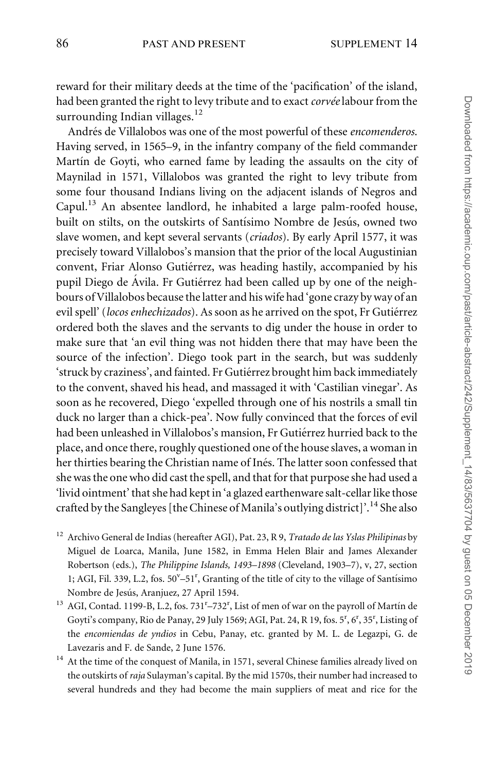reward for their military deeds at the time of the 'pacification' of the island, had been granted the right to levy tribute and to exact corvée labour from the surrounding Indian villages. $12$ 

Andrés de Villalobos was one of the most powerful of these encomenderos. Having served, in 1565–9, in the infantry company of the field commander Martín de Goyti, who earned fame by leading the assaults on the city of Maynilad in 1571, Villalobos was granted the right to levy tribute from some four thousand Indians living on the adjacent islands of Negros and Capul.<sup>13</sup> An absentee landlord, he inhabited a large palm-roofed house, built on stilts, on the outskirts of Santísimo Nombre de Jesús, owned two slave women, and kept several servants (criados). By early April 1577, it was precisely toward Villalobos's mansion that the prior of the local Augustinian convent, Friar Alonso Gutiérrez, was heading hastily, accompanied by his pupil Diego de Ávila. Fr Gutiérrez had been called up by one of the neighbours of Villalobos because the latter and his wife had 'gone crazy by way of an evil spell' (locos enhechizados). As soon as he arrived on the spot, Fr Gutiérrez ordered both the slaves and the servants to dig under the house in order to make sure that 'an evil thing was not hidden there that may have been the source of the infection'. Diego took part in the search, but was suddenly 'struck by craziness', and fainted. Fr Gutiérrez brought him back immediately to the convent, shaved his head, and massaged it with 'Castilian vinegar'. As soon as he recovered, Diego 'expelled through one of his nostrils a small tin duck no larger than a chick-pea'. Now fully convinced that the forces of evil had been unleashed in Villalobos's mansion, Fr Gutiérrez hurried back to the place, and once there, roughly questioned one of the house slaves, a woman in her thirties bearing the Christian name of Inés. The latter soon confessed that she was the one who did cast the spell, and that for that purpose she had used a 'livid ointment' that she had kept in 'a glazed earthenware salt-cellar like those crafted by the Sangleyes [the Chinese of Manila's outlying district]'.<sup>14</sup> She also

- <sup>12</sup> Archivo General de Indias (hereafter AGI), Pat. 23, R 9, *Tratado de las Yslas Philipinas* by Miguel de Loarca, Manila, June 1582, in Emma Helen Blair and James Alexander Robertson (eds.), The Philippine Islands, 1493–1898 (Cleveland, 1903–7), v, 27, section 1; AGI, Fil. 339, L.2, fos. 50<sup>v</sup>-51<sup>r</sup>, Granting of the title of city to the village of Santísimo Nombre de Jesús, Aranjuez, 27 April 1594.
- <sup>13</sup> AGI, Contad. 1199-B, L.2, fos. 731<sup>r</sup>-732<sup>r</sup>, List of men of war on the payroll of Martín de Goyti's company, Rio de Panay, 29 July 1569; AGI, Pat. 24, R 19, fos. 5<sup>r</sup>, 6<sup>r</sup>, 35<sup>r</sup>, Listing of the encomiendas de yndios in Cebu, Panay, etc. granted by M. L. de Legazpi, G. de Lavezaris and F. de Sande, 2 June 1576.
- $14$  At the time of the conquest of Manila, in 1571, several Chinese families already lived on the outskirts of raja Sulayman's capital. By the mid 1570s, their number had increased to several hundreds and they had become the main suppliers of meat and rice for the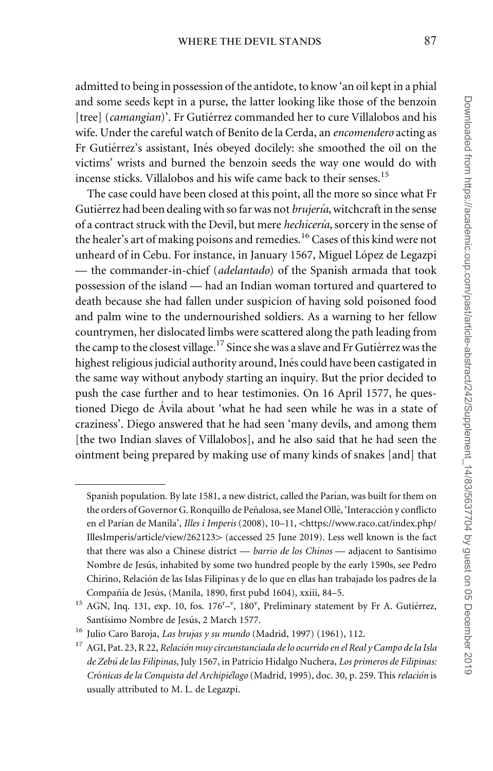admitted to being in possession of the antidote, to know 'an oil kept in a phial and some seeds kept in a purse, the latter looking like those of the benzoin [tree] (camangian)'. Fr Gutiérrez commanded her to cure Villalobos and his wife. Under the careful watch of Benito de la Cerda, an *encomendero* acting as Fr Gutiérrez's assistant, Inés obeyed docilely: she smoothed the oil on the victims' wrists and burned the benzoin seeds the way one would do with incense sticks. Villalobos and his wife came back to their senses.<sup>15</sup>

The case could have been closed at this point, all the more so since what Fr Gutiérrez had been dealing with so far was not *brujería*, witchcraft in the sense of a contract struck with the Devil, but mere hechicería, sorcery in the sense of the healer's art of making poisons and remedies.<sup>16</sup> Cases of this kind were not unheard of in Cebu. For instance, in January 1567, Miguel López de Legazpi — the commander-in-chief (adelantado) of the Spanish armada that took possession of the island — had an Indian woman tortured and quartered to death because she had fallen under suspicion of having sold poisoned food and palm wine to the undernourished soldiers. As a warning to her fellow countrymen, her dislocated limbs were scattered along the path leading from the camp to the closest village.<sup>17</sup> Since she was a slave and Fr Gutiérrez was the highest religious judicial authority around, Inés could have been castigated in the same way without anybody starting an inquiry. But the prior decided to push the case further and to hear testimonies. On 16 April 1577, he questioned Diego de Ávila about 'what he had seen while he was in a state of craziness'. Diego answered that he had seen 'many devils, and among them [the two Indian slaves of Villalobos], and he also said that he had seen the ointment being prepared by making use of many kinds of snakes [and] that

Spanish population. By late 1581, a new district, called the Parían, was built for them on the orders of Governor G. Ronquillo de Peñalosa, see Manel Ollé, 'Interacción y conflicto en el Parían de Manila', *Illes i Imperis* (2008), 10–11, <[https://www.raco.cat/index.php/](https://www.raco.cat/index.php/IllesImperis/article/view/262123) [IllesImperis/article/view/262123](https://www.raco.cat/index.php/IllesImperis/article/view/262123)> (accessed 25 June 2019). Less well known is the fact that there was also a Chinese district — *barrio de los Chinos* — adjacent to Santísimo Nombre de Jesús, inhabited by some two hundred people by the early 1590s, see Pedro Chirino, Relación de las Islas Filipinas y de lo que en ellas han trabajado los padres de la Compañía de Jesús, (Manila, 1890, first pubd 1604), xxiii, 84-5.

<sup>&</sup>lt;sup>15</sup> AGN, Inq. 131, exp. 10, fos. 176<sup>r</sup>-<sup>v</sup>, 180<sup>v</sup>, Preliminary statement by Fr A. Gutiérrez, Santísimo Nombre de Jesús, 2 March 1577.

<sup>&</sup>lt;sup>16</sup> Julio Caro Baroja, *Las brujas y su mundo* (Madrid, 1997) (1961), 112.

 $17$  AGI, Pat. 23, R 22, Relación muy circunstanciada de lo ocurrido en el Real y Campo de la Isla de Zebú de las Filipinas, July 1567, in Patricio Hidalgo Nuchera, Los primeros de Filipinas: Crónicas de la Conquista del Archipiélago (Madrid, 1995), doc. 30, p. 259. This relación is usually attributed to M. L. de Legazpi.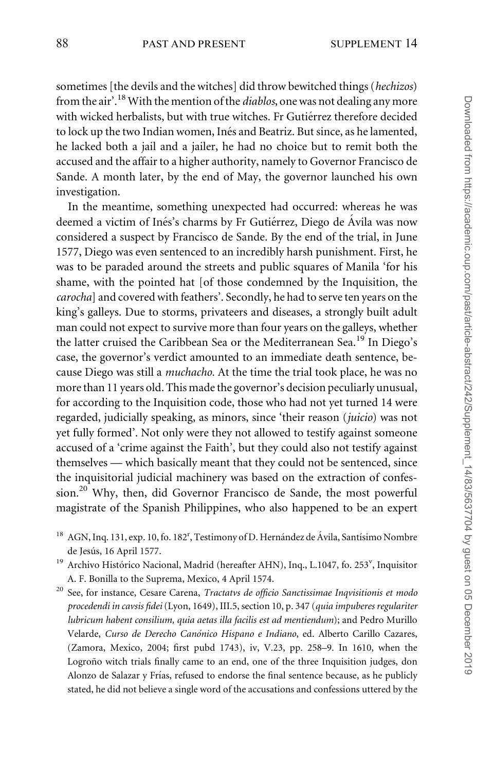sometimes [the devils and the witches] did throw bewitched things (hechizos) from the air'.<sup>18</sup> With the mention of the *diablos*, one was not dealing any more with wicked herbalists, but with true witches. Fr Gutiérrez therefore decided to lock up the two Indian women, Inés and Beatriz. But since, as he lamented, he lacked both a jail and a jailer, he had no choice but to remit both the accused and the affair to a higher authority, namely to Governor Francisco de Sande. A month later, by the end of May, the governor launched his own investigation.

In the meantime, something unexpected had occurred: whereas he was deemed a victim of Inés's charms by Fr Gutiérrez, Diego de Ávila was now considered a suspect by Francisco de Sande. By the end of the trial, in June 1577, Diego was even sentenced to an incredibly harsh punishment. First, he was to be paraded around the streets and public squares of Manila 'for his shame, with the pointed hat [of those condemned by the Inquisition, the carocha] and covered with feathers'. Secondly, he had to serve ten years on the king's galleys. Due to storms, privateers and diseases, a strongly built adult man could not expect to survive more than four years on the galleys, whether the latter cruised the Caribbean Sea or the Mediterranean Sea.<sup>19</sup> In Diego's case, the governor's verdict amounted to an immediate death sentence, because Diego was still a muchacho. At the time the trial took place, he was no more than 11 years old. This made the governor's decision peculiarly unusual, for according to the Inquisition code, those who had not yet turned 14 were regarded, judicially speaking, as minors, since 'their reason (juicio) was not yet fully formed'. Not only were they not allowed to testify against someone accused of a 'crime against the Faith', but they could also not testify against themselves — which basically meant that they could not be sentenced, since the inquisitorial judicial machinery was based on the extraction of confession.<sup>20</sup> Why, then, did Governor Francisco de Sande, the most powerful magistrate of the Spanish Philippines, who also happened to be an expert

- <sup>18</sup> AGN, Inq. 131, exp. 10, fo. 182<sup>r</sup>, Testimony of D. Hernández de Ávila, Santísimo Nombre de Jesús, 16 April 1577.
- <sup>19</sup> Archivo Histórico Nacional, Madrid (hereafter AHN), Inq., L.1047, fo. 253<sup>v</sup>, Inquisitor A. F. Bonilla to the Suprema, Mexico, 4 April 1574.
- <sup>20</sup> See, for instance, Cesare Carena, Tractatvs de officio Sanctissimae Inqvisitionis et modo procedendi in cavsis fidei (Lyon, 1649), III.5, section 10, p. 347 (quia impuberes regulariter lubricum habent consilium, quia aetas illa facilis est ad mentiendum); and Pedro Murillo Velarde, Curso de Derecho Canónico Hispano e Indiano, ed. Alberto Carillo Cazares, (Zamora, Mexico, 2004; first pubd 1743), iv, V.23, pp. 258–9. In 1610, when the Logroño witch trials finally came to an end, one of the three Inquisition judges, don Alonzo de Salazar y Frías, refused to endorse the final sentence because, as he publicly stated, he did not believe a single word of the accusations and confessions uttered by the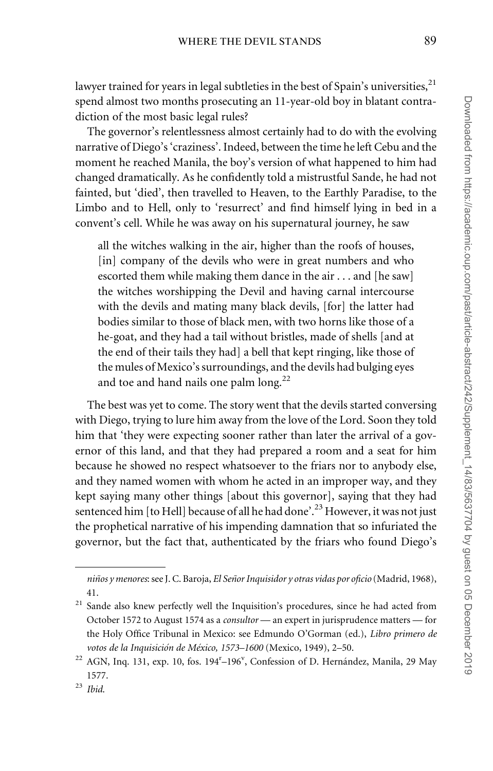lawyer trained for years in legal subtleties in the best of Spain's universities,  $^{21}$ spend almost two months prosecuting an 11-year-old boy in blatant contradiction of the most basic legal rules?

The governor's relentlessness almost certainly had to do with the evolving narrative of Diego's 'craziness'. Indeed, between the time he left Cebu and the moment he reached Manila, the boy's version of what happened to him had changed dramatically. As he confidently told a mistrustful Sande, he had not fainted, but 'died', then travelled to Heaven, to the Earthly Paradise, to the Limbo and to Hell, only to 'resurrect' and find himself lying in bed in a convent's cell. While he was away on his supernatural journey, he saw

all the witches walking in the air, higher than the roofs of houses, [in] company of the devils who were in great numbers and who escorted them while making them dance in the air . . . and [he saw] the witches worshipping the Devil and having carnal intercourse with the devils and mating many black devils, [for] the latter had bodies similar to those of black men, with two horns like those of a he-goat, and they had a tail without bristles, made of shells [and at the end of their tails they had] a bell that kept ringing, like those of the mules of Mexico's surroundings, and the devils had bulging eyes and toe and hand nails one palm long.<sup>22</sup>

The best was yet to come. The story went that the devils started conversing with Diego, trying to lure him away from the love of the Lord. Soon they told him that 'they were expecting sooner rather than later the arrival of a governor of this land, and that they had prepared a room and a seat for him because he showed no respect whatsoever to the friars nor to anybody else, and they named women with whom he acted in an improper way, and they kept saying many other things [about this governor], saying that they had sentenced him [to Hell] because of all he had done'.<sup>23</sup> However, it was not just the prophetical narrative of his impending damnation that so infuriated the governor, but the fact that, authenticated by the friars who found Diego's

niños y menores: see J. C. Baroja, El Señor Inquisidor y otras vidas por oficio (Madrid, 1968), 41.

<sup>&</sup>lt;sup>21</sup> Sande also knew perfectly well the Inquisition's procedures, since he had acted from October 1572 to August 1574 as a consultor — an expert in jurisprudence matters — for the Holy Office Tribunal in Mexico: see Edmundo O'Gorman (ed.), Libro primero de votos de la Inquisición de México, 1573-1600 (Mexico, 1949), 2-50.

<sup>&</sup>lt;sup>22</sup> AGN, Inq. 131, exp. 10, fos. 194<sup>r</sup>-196<sup>v</sup>, Confession of D. Hernández, Manila, 29 May 1577.

 $23$  Ibid.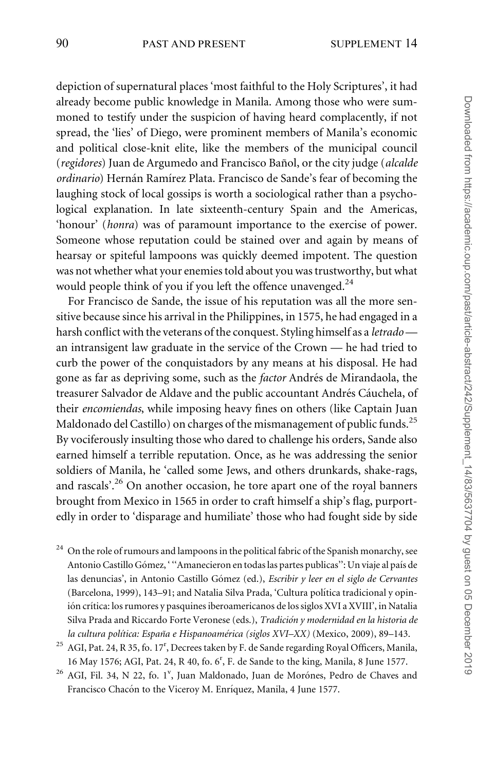depiction of supernatural places 'most faithful to the Holy Scriptures', it had already become public knowledge in Manila. Among those who were summoned to testify under the suspicion of having heard complacently, if not spread, the 'lies' of Diego, were prominent members of Manila's economic and political close-knit elite, like the members of the municipal council (regidores) Juan de Argumedo and Francisco Bañol, or the city judge (alcalde ordinario) Hernán Ramírez Plata. Francisco de Sande's fear of becoming the laughing stock of local gossips is worth a sociological rather than a psychological explanation. In late sixteenth-century Spain and the Americas, 'honour' (honra) was of paramount importance to the exercise of power. Someone whose reputation could be stained over and again by means of hearsay or spiteful lampoons was quickly deemed impotent. The question was not whether what your enemies told about you was trustworthy, but what would people think of you if you left the offence unavenged. $^{24}$ 

For Francisco de Sande, the issue of his reputation was all the more sensitive because since his arrival in the Philippines, in 1575, he had engaged in a harsh conflict with the veterans of the conquest. Styling himself as a *letrado* an intransigent law graduate in the service of the Crown — he had tried to curb the power of the conquistadors by any means at his disposal. He had gone as far as depriving some, such as the *factor* Andrés de Mirandaola, the treasurer Salvador de Aldave and the public accountant Andrés Cáuchela, of their encomiendas, while imposing heavy fines on others (like Captain Juan Maldonado del Castillo) on charges of the mismanagement of public funds.<sup>25</sup> By vociferously insulting those who dared to challenge his orders, Sande also earned himself a terrible reputation. Once, as he was addressing the senior soldiers of Manila, he 'called some Jews, and others drunkards, shake-rags, and rascals'.<sup>26</sup> On another occasion, he tore apart one of the royal banners brought from Mexico in 1565 in order to craft himself a ship's flag, purportedly in order to 'disparage and humiliate' those who had fought side by side

- $24$  On the role of rumours and lampoons in the political fabric of the Spanish monarchy, see Antonio Castillo Gómez, '"Amanecieron en todas las partes publicas": Un viaje al país de las denuncias', in Antonio Castillo Gómez (ed.), Escribir y leer en el siglo de Cervantes (Barcelona, 1999), 143-91; and Natalia Silva Prada, 'Cultura política tradicional y opinión crítica: los rumores y pasquines iberoamericanos de los siglos XVI a XVIII', in Natalia Silva Prada and Riccardo Forte Veronese (eds.), Tradición y modernidad en la historia de la cultura política: España e Hispanoamérica (siglos XVI–XX) (Mexico, 2009), 89–143.
- $^{25}$  AGI, Pat. 24, R 35, fo. 17<sup>r</sup>, Decrees taken by F. de Sande regarding Royal Officers, Manila, 16 May 1576; AGI, Pat. 24, R 40, fo. 6<sup>r</sup>, F. de Sande to the king, Manila, 8 June 1577.
- <sup>26</sup> AGI, Fil. 34, N 22, fo. 1<sup>v</sup>, Juan Maldonado, Juan de Morónes, Pedro de Chaves and Francisco Chacón to the Viceroy M. Enríquez, Manila, 4 June 1577.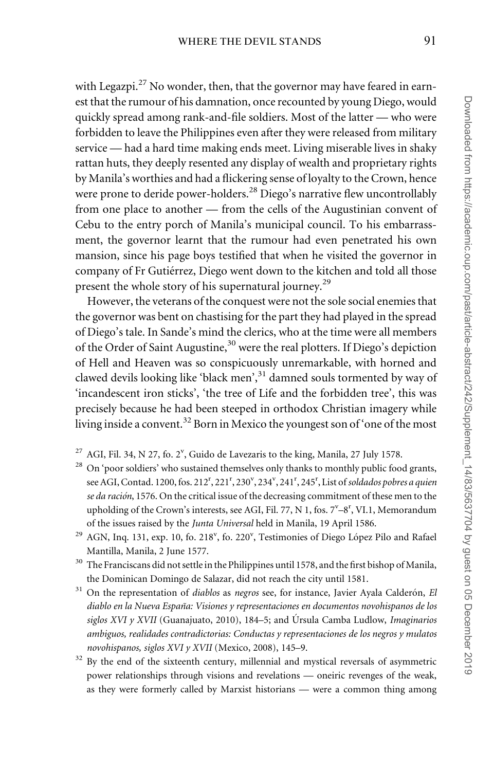with Legazpi.<sup>27</sup> No wonder, then, that the governor may have feared in earnest that the rumour of his damnation, once recounted by young Diego, would quickly spread among rank-and-file soldiers. Most of the latter — who were forbidden to leave the Philippines even after they were released from military service — had a hard time making ends meet. Living miserable lives in shaky rattan huts, they deeply resented any display of wealth and proprietary rights by Manila's worthies and had a flickering sense of loyalty to the Crown, hence were prone to deride power-holders.<sup>28</sup> Diego's narrative flew uncontrollably from one place to another — from the cells of the Augustinian convent of Cebu to the entry porch of Manila's municipal council. To his embarrassment, the governor learnt that the rumour had even penetrated his own mansion, since his page boys testified that when he visited the governor in company of Fr Gutiérrez, Diego went down to the kitchen and told all those present the whole story of his supernatural journey.<sup>29</sup>

However, the veterans of the conquest were not the sole social enemies that the governor was bent on chastising for the part they had played in the spread of Diego's tale. In Sande's mind the clerics, who at the time were all members of the Order of Saint Augustine,<sup>30</sup> were the real plotters. If Diego's depiction of Hell and Heaven was so conspicuously unremarkable, with horned and clawed devils looking like 'black men',<sup>31</sup> damned souls tormented by way of 'incandescent iron sticks', 'the tree of Life and the forbidden tree', this was precisely because he had been steeped in orthodox Christian imagery while living inside a convent.<sup>32</sup> Born in Mexico the youngest son of 'one of the most

- $^{27}$  AGI, Fil. 34, N 27, fo. 2<sup>v</sup>, Guido de Lavezaris to the king, Manila, 27 July 1578.
- <sup>28</sup> On 'poor soldiers' who sustained themselves only thanks to monthly public food grants, see AGI, Contad. 1200, fos. 212<sup>r</sup>, 221<sup>r</sup>, 230<sup>v</sup>, 234<sup>v</sup>, 241<sup>r</sup>, 245<sup>r</sup>, List of soldados pobres a quien se da ración, 1576. On the critical issue of the decreasing commitment of these men to the upholding of the Crown's interests, see AGI, Fil. 77, N 1, fos. 7<sup>v</sup>-8<sup>r</sup>, VI.1, Memorandum of the issues raised by the Junta Universal held in Manila, 19 April 1586.
- <sup>29</sup> AGN, Inq. 131, exp. 10, fo. 218<sup>v</sup>, fo. 220<sup>v</sup>, Testimonies of Diego López Pilo and Rafael Mantilla, Manila, 2 June 1577.
- $^{\rm 30}$  The Franciscans did not settle in the Philippines until 1578, and the first bishop of Manila, the Dominican Domingo de Salazar, did not reach the city until 1581.
- $31$  On the representation of *diablos* as negros see, for instance, Javier Ayala Calderón, El diablo en la Nueva España: Visiones y representaciones en documentos novohispanos de los siglos XVI y XVII (Guanajuato, 2010), 184–5; and Úrsula Camba Ludlow, Imaginarios ambiguos, realidades contradictorias: Conductas y representaciones de los negros y mulatos novohispanos, siglos XVI y XVII (Mexico, 2008), 145–9.
- <sup>32</sup> By the end of the sixteenth century, millennial and mystical reversals of asymmetric power relationships through visions and revelations — oneiric revenges of the weak, as they were formerly called by Marxist historians — were a common thing among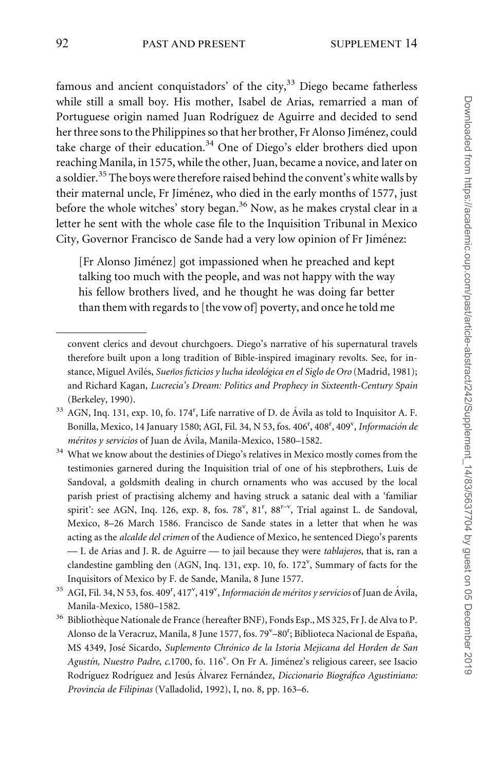famous and ancient conquistadors' of the city, $33$  Diego became fatherless while still a small boy. His mother, Isabel de Arias, remarried a man of Portuguese origin named Juan Rodríguez de Aguirre and decided to send her three sons to the Philippines so that her brother, Fr Alonso Jiménez, could take charge of their education. $34$  One of Diego's elder brothers died upon reaching Manila, in 1575, while the other, Juan, became a novice, and later on a soldier.<sup>35</sup> The boys were therefore raised behind the convent's white walls by their maternal uncle, Fr Jiménez, who died in the early months of 1577, just before the whole witches' story began.<sup>36</sup> Now, as he makes crystal clear in a letter he sent with the whole case file to the Inquisition Tribunal in Mexico City, Governor Francisco de Sande had a very low opinion of Fr Jiménez:

[Fr Alonso Jiménez] got impassioned when he preached and kept talking too much with the people, and was not happy with the way his fellow brothers lived, and he thought he was doing far better than them with regards to [the vow of] poverty, and once he told me

convent clerics and devout churchgoers. Diego's narrative of his supernatural travels therefore built upon a long tradition of Bible-inspired imaginary revolts. See, for instance, Miguel Avilés, Sueños ficticios y lucha ideológica en el Siglo de Oro (Madrid, 1981); and Richard Kagan, Lucrecia's Dream: Politics and Prophecy in Sixteenth-Century Spain (Berkeley, 1990).

 $33$  AGN, Inq. 131, exp. 10, fo. 174<sup>r</sup>, Life narrative of D. de Ávila as told to Inquisitor A. F. Bonilla, Mexico, 14 January 1580; AGI, Fil. 34, N 53, fos. 406<sup>r</sup>, 408<sup>r</sup>, 409<sup>v</sup>, Información de  $m$ éritos y servicios of Juan de Ávila, Manila-Mexico, 1580–1582.

<sup>&</sup>lt;sup>34</sup> What we know about the destinies of Diego's relatives in Mexico mostly comes from the testimonies garnered during the Inquisition trial of one of his stepbrothers, Luis de Sandoval, a goldsmith dealing in church ornaments who was accused by the local parish priest of practising alchemy and having struck a satanic deal with a 'familiar spirit': see AGN, Inq. 126, exp. 8, fos. 78<sup>v</sup>, 81<sup>r</sup>, 88<sup>r-v</sup>, Trial against L. de Sandoval, Mexico, 8–26 March 1586. Francisco de Sande states in a letter that when he was acting as the alcalde del crimen of the Audience of Mexico, he sentenced Diego's parents — I. de Arias and J. R. de Aguirre — to jail because they were *tablajeros*, that is, ran a clandestine gambling den (AGN, Inq. 131, exp. 10, fo. 172<sup>v</sup>, Summary of facts for the Inquisitors of Mexico by F. de Sande, Manila, 8 June 1577.

 $^{35}$  AGI, Fil. 34, N 53, fos. 409<sup>r</sup>, 417<sup>v</sup>, 419<sup>v</sup>, *Información de méritos y servicios* of Juan de Ávila, Manila-Mexico, 1580–1582.

<sup>&</sup>lt;sup>36</sup> Bibliothèque Nationale de France (hereafter BNF), Fonds Esp., MS 325, Fr J. de Alva to P. Alonso de la Veracruz, Manila, 8 June 1577, fos. 79<sup>v</sup>-80<sup>r</sup>; Biblioteca Nacional de España, MS 4349, José Sicardo, Suplemento Chrónico de la Istoria Mejicana del Horden de San Agustín, Nuestro Padre, c.1700, fo. 116<sup>v</sup>. On Fr A. Jiménez's religious career, see Isacio Rodríguez Rodríguez and Jesús Álvarez Fernández, Diccionario Biográfico Agustiniano: Provincia de Filipinas (Valladolid, 1992), I, no. 8, pp. 163–6.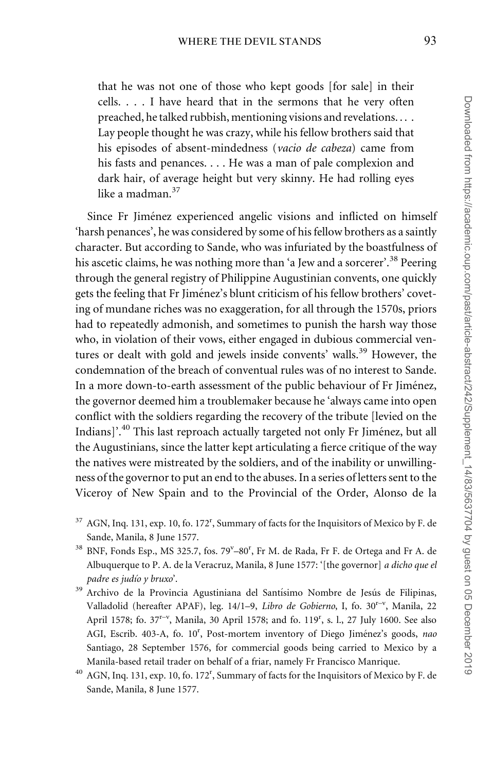that he was not one of those who kept goods [for sale] in their cells. . . . I have heard that in the sermons that he very often preached, he talked rubbish, mentioning visions and revelations. . . . Lay people thought he was crazy, while his fellow brothers said that his episodes of absent-mindedness (vacio de cabeza) came from his fasts and penances. . . . He was a man of pale complexion and dark hair, of average height but very skinny. He had rolling eyes like a madman.<sup>37</sup>

Since Fr Jiménez experienced angelic visions and inflicted on himself 'harsh penances', he was considered by some of his fellow brothers as a saintly character. But according to Sande, who was infuriated by the boastfulness of his ascetic claims, he was nothing more than 'a Jew and a sorcerer'.<sup>38</sup> Peering through the general registry of Philippine Augustinian convents, one quickly gets the feeling that Fr Jiménez's blunt criticism of his fellow brothers' coveting of mundane riches was no exaggeration, for all through the 1570s, priors had to repeatedly admonish, and sometimes to punish the harsh way those who, in violation of their vows, either engaged in dubious commercial ventures or dealt with gold and jewels inside convents' walls.<sup>39</sup> However, the condemnation of the breach of conventual rules was of no interest to Sande. In a more down-to-earth assessment of the public behaviour of Fr Jiménez, the governor deemed him a troublemaker because he 'always came into open conflict with the soldiers regarding the recovery of the tribute [levied on the Indians]'.<sup>40</sup> This last reproach actually targeted not only Fr Jiménez, but all the Augustinians, since the latter kept articulating a fierce critique of the way the natives were mistreated by the soldiers, and of the inability or unwillingness of the governor to put an end to the abuses. In a series of letters sent to the Viceroy of New Spain and to the Provincial of the Order, Alonso de la

- $37$  AGN, Inq. 131, exp. 10, fo. 172<sup>r</sup>, Summary of facts for the Inquisitors of Mexico by F. de Sande, Manila, 8 June 1577.
- <sup>38</sup> BNF, Fonds Esp., MS 325.7, fos. 79<sup>v</sup>-80<sup>r</sup>, Fr M. de Rada, Fr F. de Ortega and Fr A. de Albuquerque to P. A. de la Veracruz, Manila, 8 June 1577: '[the governor] a dicho que el padre es judío y bruxo'.
- <sup>39</sup> Archivo de la Provincia Agustiniana del Santísimo Nombre de Jesús de Filipinas, Valladolid (hereafter APAF), leg. 14/1-9, Libro de Gobierno, I, fo. 30<sup>r-v</sup>, Manila, 22 April 1578; fo. 37<sup>r-v</sup>, Manila, 30 April 1578; and fo. 119<sup>r</sup>, s. l., 27 July 1600. See also AGI, Escrib. 403-A, fo. 10<sup>r</sup>, Post-mortem inventory of Diego Jiménez's goods, nac Santiago, 28 September 1576, for commercial goods being carried to Mexico by a Manila-based retail trader on behalf of a friar, namely Fr Francisco Manrique.
- <sup>40</sup> AGN, Inq. 131, exp. 10, fo. 172<sup>r</sup>, Summary of facts for the Inquisitors of Mexico by F. de Sande, Manila, 8 June 1577.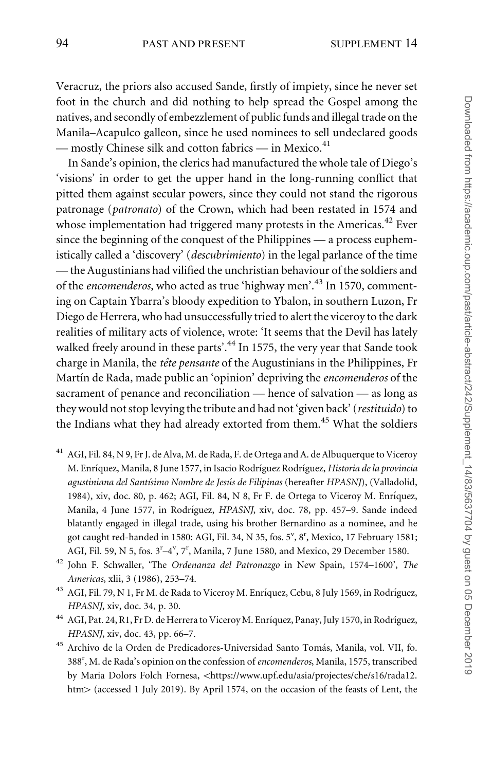Veracruz, the priors also accused Sande, firstly of impiety, since he never set foot in the church and did nothing to help spread the Gospel among the natives, and secondly of embezzlement of public funds and illegal trade on the Manila–Acapulco galleon, since he used nominees to sell undeclared goods — mostly Chinese silk and cotton fabrics — in Mexico.<sup>41</sup>

In Sande's opinion, the clerics had manufactured the whole tale of Diego's 'visions' in order to get the upper hand in the long-running conflict that pitted them against secular powers, since they could not stand the rigorous patronage (patronato) of the Crown, which had been restated in 1574 and whose implementation had triggered many protests in the Americas. $42$  Ever since the beginning of the conquest of the Philippines — a process euphemistically called a 'discovery' (descubrimiento) in the legal parlance of the time — the Augustinians had vilified the unchristian behaviour of the soldiers and of the *encomenderos*, who acted as true 'highway men'.<sup>43</sup> In 1570, commenting on Captain Ybarra's bloody expedition to Ybalon, in southern Luzon, Fr Diego de Herrera, who had unsuccessfully tried to alert the viceroy to the dark realities of military acts of violence, wrote: 'It seems that the Devil has lately walked freely around in these parts'.<sup>44</sup> In 1575, the very year that Sande took charge in Manila, the tête pensante of the Augustinians in the Philippines, Fr Martín de Rada, made public an 'opinion' depriving the encomenderos of the sacrament of penance and reconciliation — hence of salvation — as long as they would not stop levying the tribute and had not 'given back' (restituido) to the Indians what they had already extorted from them.<sup>45</sup> What the soldiers

- <sup>41</sup> AGI, Fil. 84, N 9, Fr J. de Alva, M. de Rada, F. de Ortega and A. de Albuquerque to Viceroy M. Enríquez, Manila, 8 June 1577, in Isacio Rodríguez Rodríguez, Historia de la provincia agustiniana del Santísimo Nombre de Jesús de Filipinas (hereafter HPASNJ), (Valladolid, 1984), xiv, doc. 80, p. 462; AGI, Fil. 84, N 8, Fr F. de Ortega to Viceroy M. Enríquez, Manila, 4 June 1577, in Rodríguez, HPASNJ, xiv, doc. 78, pp. 457-9. Sande indeed blatantly engaged in illegal trade, using his brother Bernardino as a nominee, and he got caught red-handed in 1580: AGI, Fil. 34, N 35, fos. 5<sup>v</sup>, 8<sup>r</sup>, Mexico, 17 February 1581; AGI, Fil. 59, N 5, fos. 3<sup>r</sup>-4<sup>v</sup>, 7<sup>r</sup>, Manila, 7 June 1580, and Mexico, 29 December 1580.
- <sup>42</sup> John F. Schwaller, 'The Ordenanza del Patronazgo in New Spain, 1574-1600', The Americas, xlii, 3 (1986), 253–74.
- <sup>43</sup> AGI, Fil. 79, N 1, Fr M. de Rada to Viceroy M. Enríquez, Cebu, 8 July 1569, in Rodríguez, HPASNJ, xiv, doc. 34, p. 30.
- $^{44}$  AGI, Pat. 24, R1, Fr D. de Herrera to Viceroy M. Enríquez, Panay, July 1570, in Rodríguez, HPASNJ, xiv, doc. 43, pp. 66–7.
- <sup>45</sup> Archivo de la Orden de Predicadores-Universidad Santo Tomás, Manila, vol. VII, fo. 388<sup>r</sup>, M. de Rada's opinion on the confession of encomenderos, Manila, 1575, transcribed by Maria Dolors Folch Fornesa, <[https://www.upf.edu/asia/projectes/che/s16/rada12.](https://www.upf.edu/asia/projectes/che/s16/rada12.htm) [htm](https://www.upf.edu/asia/projectes/che/s16/rada12.htm)> (accessed 1 July 2019). By April 1574, on the occasion of the feasts of Lent, the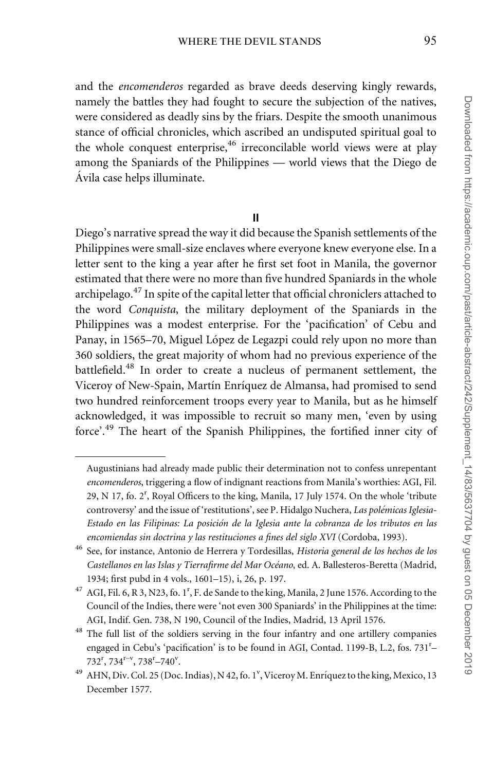and the encomenderos regarded as brave deeds deserving kingly rewards, namely the battles they had fought to secure the subjection of the natives, were considered as deadly sins by the friars. Despite the smooth unanimous stance of official chronicles, which ascribed an undisputed spiritual goal to the whole conquest enterprise, $46$  irreconcilable world views were at play among the Spaniards of the Philippines — world views that the Diego de Ávila case helps illuminate.

## II

Diego's narrative spread the way it did because the Spanish settlements of the Philippines were small-size enclaves where everyone knew everyone else. In a letter sent to the king a year after he first set foot in Manila, the governor estimated that there were no more than five hundred Spaniards in the whole archipelago. $^{47}$  In spite of the capital letter that official chroniclers attached to the word Conquista, the military deployment of the Spaniards in the Philippines was a modest enterprise. For the 'pacification' of Cebu and Panay, in 1565–70, Miguel López de Legazpi could rely upon no more than 360 soldiers, the great majority of whom had no previous experience of the battlefield.<sup>48</sup> In order to create a nucleus of permanent settlement, the Viceroy of New-Spain, Martín Enríquez de Almansa, had promised to send two hundred reinforcement troops every year to Manila, but as he himself acknowledged, it was impossible to recruit so many men, 'even by using force'.<sup>49</sup> The heart of the Spanish Philippines, the fortified inner city of

Augustinians had already made public their determination not to confess unrepentant encomenderos, triggering a flow of indignant reactions from Manila's worthies: AGI, Fil. 29, N 17, fo. 2<sup>r</sup>, Royal Officers to the king, Manila, 17 July 1574. On the whole 'tribute controversy' and the issue of 'restitutions', see P. Hidalgo Nuchera, Las polémicas Iglesia-Estado en las Filipinas: La posición de la Iglesia ante la cobranza de los tributos en las encomiendas sin doctrina y las restituciones a fines del siglo XVI (Cordoba, 1993).

<sup>&</sup>lt;sup>46</sup> See, for instance, Antonio de Herrera y Tordesillas, Historia general de los hechos de los Castellanos en las Islas y Tierrafirme del Mar Océano, ed. A. Ballesteros-Beretta (Madrid, 1934; first pubd in 4 vols., 1601–15), i, 26, p. 197.

<sup>&</sup>lt;sup>47</sup> AGI, Fil. 6, R 3, N23, fo. 1<sup>r</sup>, F. de Sande to the king, Manila, 2 June 1576. According to the Council of the Indies, there were 'not even 300 Spaniards' in the Philippines at the time: AGI, Indif. Gen. 738, N 190, Council of the Indies, Madrid, 13 April 1576.

<sup>&</sup>lt;sup>48</sup> The full list of the soldiers serving in the four infantry and one artillery companies engaged in Cebu's 'pacification' is to be found in AGI, Contad. 1199-B, L.2, fos. 731<sup>r</sup>-732<sup>r</sup>, 734<sup>r-v</sup>, 738<sup>r</sup>-740<sup>v</sup>.

<sup>&</sup>lt;sup>49</sup> AHN, Div. Col. 25 (Doc. Indias), N 42, fo. 1<sup>v</sup>, Viceroy M. Enríquez to the king, Mexico, 13 December 1577.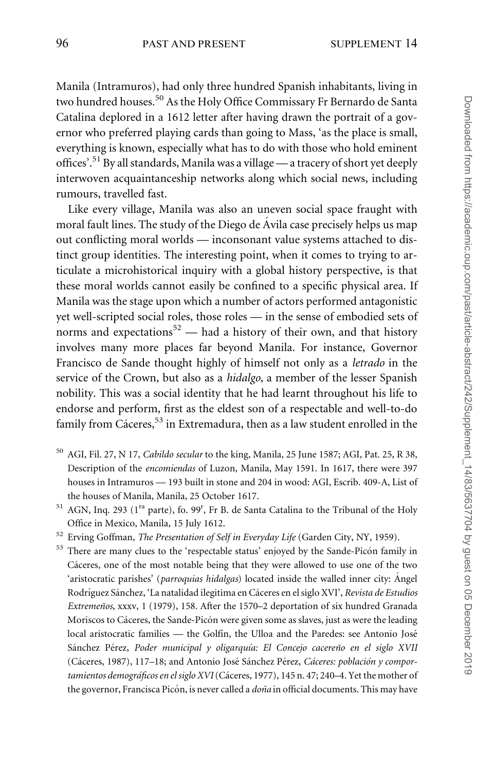Manila (Intramuros), had only three hundred Spanish inhabitants, living in two hundred houses.<sup>50</sup> As the Holy Office Commissary Fr Bernardo de Santa Catalina deplored in a 1612 letter after having drawn the portrait of a governor who preferred playing cards than going to Mass, 'as the place is small, everything is known, especially what has to do with those who hold eminent offices'.<sup>51</sup> By all standards, Manila was a village — a tracery of short yet deeply interwoven acquaintanceship networks along which social news, including rumours, travelled fast.

Like every village, Manila was also an uneven social space fraught with moral fault lines. The study of the Diego de Ávila case precisely helps us map out conflicting moral worlds — inconsonant value systems attached to distinct group identities. The interesting point, when it comes to trying to articulate a microhistorical inquiry with a global history perspective, is that these moral worlds cannot easily be confined to a specific physical area. If Manila was the stage upon which a number of actors performed antagonistic yet well-scripted social roles, those roles — in the sense of embodied sets of norms and expectations<sup>52</sup> — had a history of their own, and that history involves many more places far beyond Manila. For instance, Governor Francisco de Sande thought highly of himself not only as a letrado in the service of the Crown, but also as a hidalgo, a member of the lesser Spanish nobility. This was a social identity that he had learnt throughout his life to endorse and perform, first as the eldest son of a respectable and well-to-do family from Cáceres,  $53$  in Extremadura, then as a law student enrolled in the

- <sup>50</sup> AGI, Fil. 27, N 17, Cabildo secular to the king, Manila, 25 June 1587; AGI, Pat. 25, R 38, Description of the encomiendas of Luzon, Manila, May 1591. In 1617, there were 397 houses in Intramuros — 193 built in stone and 204 in wood: AGI, Escrib. 409-A, List of the houses of Manila, Manila, 25 October 1617.
- <sup>51</sup> AGN, Inq. 293 (1<sup>ra</sup> parte), fo. 99<sup>r</sup>, Fr B. de Santa Catalina to the Tribunal of the Holy Office in Mexico, Manila, 15 July 1612.
- <sup>52</sup> Erving Goffman, The Presentation of Self in Everyday Life (Garden City, NY, 1959).
- <sup>53</sup> There are many clues to the 'respectable status' enjoyed by the Sande-Picón family in Cáceres, one of the most notable being that they were allowed to use one of the two 'aristocratic parishes' (parroquias hidalgas) located inside the walled inner city: Angel Rodríguez Sánchez, 'La natalidad ilegitima en Cáceres en el siglo XVI', Revista de Estudios Extremeños, xxxv, 1 (1979), 158. After the 1570-2 deportation of six hundred Granada Moriscos to Cáceres, the Sande-Picón were given some as slaves, just as were the leading local aristocratic families — the Golfín, the Ulloa and the Paredes: see Antonio José Sánchez Pérez, Poder municipal y oligarquía: El Concejo cacereño en el siglo XVII (Cáceres, 1987), 117–18; and Antonio José Sánchez Pérez, Cáceres: población y comportamientos demográficos en el siglo XVI (Cáceres, 1977), 145 n. 47; 240-4. Yet the mother of the governor, Francisca Picón, is never called a *doña* in official documents. This may have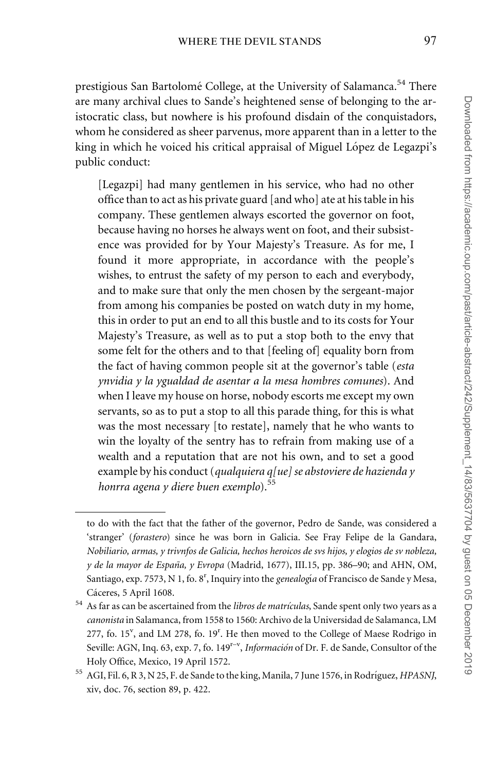prestigious San Bartolomé College, at the University of Salamanca.<sup>54</sup> There are many archival clues to Sande's heightened sense of belonging to the aristocratic class, but nowhere is his profound disdain of the conquistadors, whom he considered as sheer parvenus, more apparent than in a letter to the king in which he voiced his critical appraisal of Miguel López de Legazpi's public conduct:

[Legazpi] had many gentlemen in his service, who had no other office than to act as his private guard [and who] ate at his table in his company. These gentlemen always escorted the governor on foot, because having no horses he always went on foot, and their subsistence was provided for by Your Majesty's Treasure. As for me, I found it more appropriate, in accordance with the people's wishes, to entrust the safety of my person to each and everybody, and to make sure that only the men chosen by the sergeant-major from among his companies be posted on watch duty in my home, this in order to put an end to all this bustle and to its costs for Your Majesty's Treasure, as well as to put a stop both to the envy that some felt for the others and to that [feeling of] equality born from the fact of having common people sit at the governor's table (esta ynvidia y la ygualdad de asentar a la mesa hombres comunes). And when I leave my house on horse, nobody escorts me except my own servants, so as to put a stop to all this parade thing, for this is what was the most necessary [to restate], namely that he who wants to win the loyalty of the sentry has to refrain from making use of a wealth and a reputation that are not his own, and to set a good example by his conduct (qualquiera q[ue] se abstoviere de hazienda y honrra agena y diere buen exemplo). $55$ 

to do with the fact that the father of the governor, Pedro de Sande, was considered a 'stranger' (forastero) since he was born in Galicia. See Fray Felipe de la Gandara, Nobiliario, armas, y trivnfos de Galicia, hechos heroicos de svs hijos, y elogios de sv nobleza, y de la mayor de España, y Evropa (Madrid, 1677), III.15, pp. 386–90; and AHN, OM, Santiago, exp. 7573, N 1, fo. 8<sup>r</sup>, Inquiry into the genealogía of Francisco de Sande y Mesa, Cáceres, 5 April 1608.

 $54$  As far as can be ascertained from the *libros de matrículas*, Sande spent only two years as a canonista in Salamanca, from 1558 to 1560: Archivo de la Universidad de Salamanca, LM 277, fo. 15<sup>v</sup>, and LM 278, fo. 19<sup>r</sup>. He then moved to the College of Maese Rodrigo in Seville: AGN, Inq. 63, exp. 7, fo. 149<sup>r-v</sup>, *Información* of Dr. F. de Sande, Consultor of the Holy Office, Mexico, 19 April 1572.

<sup>&</sup>lt;sup>55</sup> AGI, Fil. 6, R 3, N 25, F. de Sande to the king, Manila, 7 June 1576, in Rodríguez, HPASNJ, xiv, doc. 76, section 89, p. 422.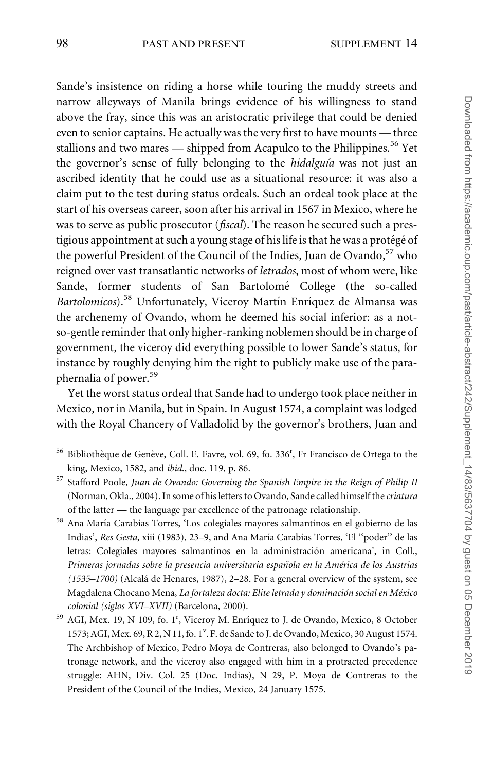## 98 PAST AND PRESENT SUPPLEMENT 14

Sande's insistence on riding a horse while touring the muddy streets and narrow alleyways of Manila brings evidence of his willingness to stand above the fray, since this was an aristocratic privilege that could be denied even to senior captains. He actually was the very first to have mounts — three stallions and two mares — shipped from Acapulco to the Philippines.<sup>56</sup> Yet the governor's sense of fully belonging to the *hidalguia* was not just an ascribed identity that he could use as a situational resource: it was also a claim put to the test during status ordeals. Such an ordeal took place at the start of his overseas career, soon after his arrival in 1567 in Mexico, where he was to serve as public prosecutor (*fiscal*). The reason he secured such a prestigious appointment at such a young stage of his life is that he was a protégé of the powerful President of the Council of the Indies, Juan de Ovando,<sup>57</sup> who reigned over vast transatlantic networks of letrados, most of whom were, like Sande, former students of San Bartolomé College (the so-called Bartolomicos).<sup>58</sup> Unfortunately, Viceroy Martín Enríquez de Almansa was the archenemy of Ovando, whom he deemed his social inferior: as a notso-gentle reminder that only higher-ranking noblemen should be in charge of government, the viceroy did everything possible to lower Sande's status, for instance by roughly denying him the right to publicly make use of the paraphernalia of power.<sup>59</sup>

Yet the worst status ordeal that Sande had to undergo took place neither in Mexico, nor in Manila, but in Spain. In August 1574, a complaint was lodged with the Royal Chancery of Valladolid by the governor's brothers, Juan and

- <sup>56</sup> Bibliothèque de Genève, Coll. E. Favre, vol. 69, fo. 336<sup>r</sup>, Fr Francisco de Ortega to the king, Mexico, 1582, and ibid., doc. 119, p. 86.
- <sup>57</sup> Stafford Poole, Juan de Ovando: Governing the Spanish Empire in the Reign of Philip II (Norman, Okla., 2004). In some of his letters to Ovando, Sande called himself the criatura of the latter — the language par excellence of the patronage relationship.
- <sup>58</sup> Ana Marı´a Carabias Torres, 'Los colegiales mayores salmantinos en el gobierno de las Indias', Res Gesta, xiii (1983), 23–9, and Ana Marı´a Carabias Torres, 'El ''poder'' de las letras: Colegiales mayores salmantinos en la administración americana', in Coll., Primeras jornadas sobre la presencia universitaria española en la América de los Austrias  $(1535–1700)$  (Alcalá de Henares, 1987), 2–28. For a general overview of the system, see Magdalena Chocano Mena, La fortaleza docta: Elite letrada y dominación social en México colonial (siglos XVI–XVII) (Barcelona, 2000).
- <sup>59</sup> AGI, Mex. 19, N 109, fo. 1<sup>r</sup>, Viceroy M. Enríquez to J. de Ovando, Mexico, 8 October 1573; AGI, Mex. 69, R 2, N 11, fo. 1<sup>v</sup>. F. de Sande to J. de Ovando, Mexico, 30 August 1574. The Archbishop of Mexico, Pedro Moya de Contreras, also belonged to Ovando's patronage network, and the viceroy also engaged with him in a protracted precedence struggle: AHN, Div. Col. 25 (Doc. Indias), N 29, P. Moya de Contreras to the President of the Council of the Indies, Mexico, 24 January 1575.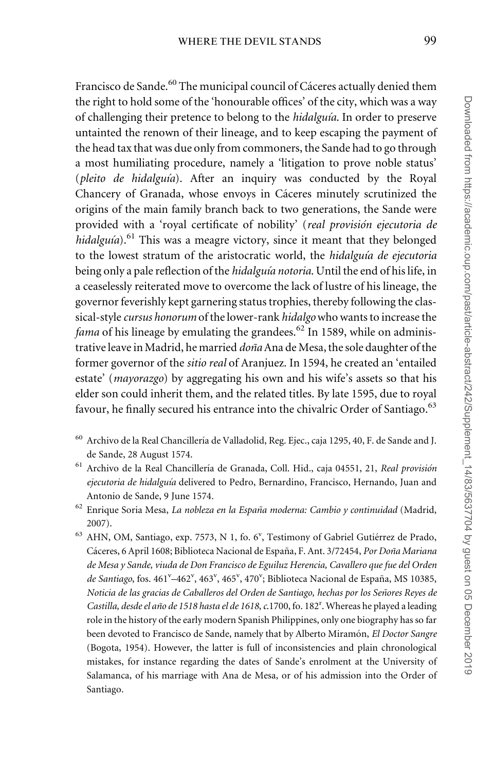Francisco de Sande.<sup>60</sup> The municipal council of Cáceres actually denied them the right to hold some of the 'honourable offices' of the city, which was a way of challenging their pretence to belong to the *hidalguía*. In order to preserve untainted the renown of their lineage, and to keep escaping the payment of the head tax that was due only from commoners, the Sande had to go through a most humiliating procedure, namely a 'litigation to prove noble status' (pleito de hidalguía). After an inquiry was conducted by the Royal Chancery of Granada, whose envoys in Cáceres minutely scrutinized the origins of the main family branch back to two generations, the Sande were provided with a 'royal certificate of nobility' (real provisión ejecutoria de hidalguía).<sup>61</sup> This was a meagre victory, since it meant that they belonged to the lowest stratum of the aristocratic world, the hidalguía de ejecutoria being only a pale reflection of the *hidalguía notoria*. Until the end of his life, in a ceaselessly reiterated move to overcome the lack of lustre of his lineage, the governor feverishly kept garnering status trophies, thereby following the classical-style cursus honorum of the lower-rank hidalgo who wants to increase the *fama* of his lineage by emulating the grandees.<sup>62</sup> In 1589, while on administrative leave in Madrid, he married *doña* Ana de Mesa, the sole daughter of the former governor of the sitio real of Aranjuez. In 1594, he created an 'entailed estate' (*mayorazgo*) by aggregating his own and his wife's assets so that his elder son could inherit them, and the related titles. By late 1595, due to royal favour, he finally secured his entrance into the chivalric Order of Santiago.<sup>63</sup>

- <sup>60</sup> Archivo de la Real Chancillería de Valladolid, Reg. Ejec., caja 1295, 40, F. de Sande and J. de Sande, 28 August 1574.
- <sup>61</sup> Archivo de la Real Chancillería de Granada, Coll. Hid., caja 04551, 21, Real provisión ejecutoria de hidalguía delivered to Pedro, Bernardino, Francisco, Hernando, Juan and Antonio de Sande, 9 June 1574.
- $^{62}$  Enrique Soria Mesa, La nobleza en la España moderna: Cambio y continuidad (Madrid, 2007).
- <sup>63</sup> AHN, OM, Santiago, exp. 7573, N 1, fo. 6<sup>v</sup>, Testimony of Gabriel Gutiérrez de Prado, Cáceres, 6 April 1608; Biblioteca Nacional de España, F. Ant. 3/72454, Por Doña Mariana de Mesa y Sande, viuda de Don Francisco de Eguiluz Herencia, Cavallero que fue del Orden de Santiago, fos. 461<sup>v</sup>-462<sup>v</sup>, 463<sup>v</sup>, 465<sup>v</sup>, 470<sup>v</sup>; Biblioteca Nacional de España, MS 10385, Noticia de las gracias de Caballeros del Orden de Santiago, hechas por los Señores Reyes de Castilla, desde el año de 1518 hasta el de 1618, c.1700, fo. 182<sup>r</sup>. Whereas he played a leading role in the history of the early modern Spanish Philippines, only one biography has so far been devoted to Francisco de Sande, namely that by Alberto Miramón, El Doctor Sangre (Bogota, 1954). However, the latter is full of inconsistencies and plain chronological mistakes, for instance regarding the dates of Sande's enrolment at the University of Salamanca, of his marriage with Ana de Mesa, or of his admission into the Order of Santiago.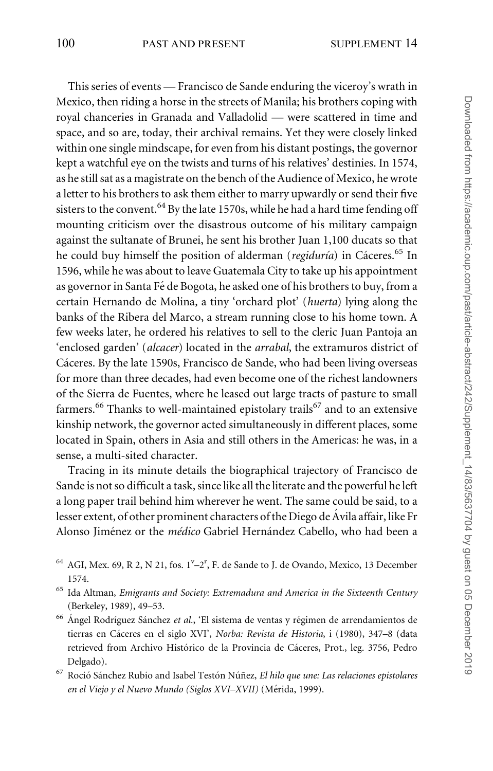This series of events — Francisco de Sande enduring the viceroy's wrath in Mexico, then riding a horse in the streets of Manila; his brothers coping with royal chanceries in Granada and Valladolid — were scattered in time and space, and so are, today, their archival remains. Yet they were closely linked within one single mindscape, for even from his distant postings, the governor kept a watchful eye on the twists and turns of his relatives' destinies. In 1574, as he still sat as a magistrate on the bench of the Audience of Mexico, he wrote a letter to his brothers to ask them either to marry upwardly or send their five sisters to the convent.  $64$  By the late 1570s, while he had a hard time fending off mounting criticism over the disastrous outcome of his military campaign against the sultanate of Brunei, he sent his brother Juan 1,100 ducats so that he could buy himself the position of alderman (regiduría) in Cáceres.<sup>65</sup> In 1596, while he was about to leave Guatemala City to take up his appointment as governor in Santa Fé de Bogota, he asked one of his brothers to buy, from a certain Hernando de Molina, a tiny 'orchard plot' (huerta) lying along the banks of the Ribera del Marco, a stream running close to his home town. A few weeks later, he ordered his relatives to sell to the cleric Juan Pantoja an 'enclosed garden' (alcacer) located in the arrabal, the extramuros district of Cáceres. By the late 1590s, Francisco de Sande, who had been living overseas for more than three decades, had even become one of the richest landowners of the Sierra de Fuentes, where he leased out large tracts of pasture to small farmers.<sup>66</sup> Thanks to well-maintained epistolary trails<sup>67</sup> and to an extensive kinship network, the governor acted simultaneously in different places, some located in Spain, others in Asia and still others in the Americas: he was, in a sense, a multi-sited character.

Tracing in its minute details the biographical trajectory of Francisco de Sande is not so difficult a task, since like all the literate and the powerful he left a long paper trail behind him wherever he went. The same could be said, to a lesser extent, of other prominent characters of the Diego de Ávila affair, like Fr Alonso Jiménez or the *médico* Gabriel Hernández Cabello, who had been a

- <sup>64</sup> AGI, Mex. 69, R 2, N 21, fos.  $1^v$ -2<sup>r</sup>, F. de Sande to J. de Ovando, Mexico, 13 December 1574.
- <sup>65</sup> Ida Altman, Emigrants and Society: Extremadura and America in the Sixteenth Century (Berkeley, 1989), 49–53.
- $^{66}$ Ángel Rodríguez Sánchez et al., 'El sistema de ventas y régimen de arrendamientos de tierras en Cáceres en el siglo XVI', Norba: Revista de Historia, i (1980), 347-8 (data retrieved from Archivo Histórico de la Provincia de Cáceres, Prot., leg. 3756, Pedro Delgado).
- $^{67}$  Roció Sánchez Rubio and Isabel Testón Núñez, El hilo que une: Las relaciones epistolares en el Viejo y el Nuevo Mundo (Siglos XVI–XVII) (Mérida, 1999).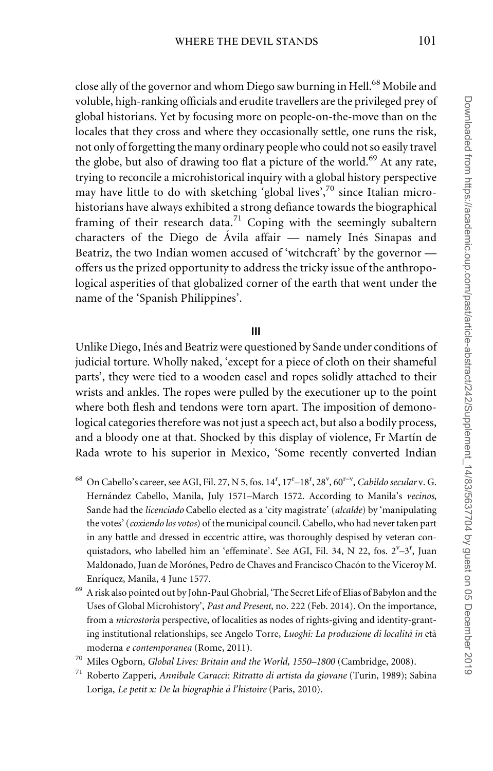close ally of the governor and whom Diego saw burning in Hell.<sup>68</sup> Mobile and voluble, high-ranking officials and erudite travellers are the privileged prey of global historians. Yet by focusing more on people-on-the-move than on the locales that they cross and where they occasionally settle, one runs the risk, not only of forgetting the many ordinary people who could not so easily travel the globe, but also of drawing too flat a picture of the world.<sup>69</sup> At any rate, trying to reconcile a microhistorical inquiry with a global history perspective may have little to do with sketching 'global lives', $70$  since Italian microhistorians have always exhibited a strong defiance towards the biographical framing of their research data.<sup>71</sup> Coping with the seemingly subaltern characters of the Diego de Ávila affair  $-$  namely Inés Sinapas and Beatriz, the two Indian women accused of 'witchcraft' by the governor offers us the prized opportunity to address the tricky issue of the anthropological asperities of that globalized corner of the earth that went under the name of the 'Spanish Philippines'.

#### III

Unlike Diego, Inés and Beatriz were questioned by Sande under conditions of judicial torture. Wholly naked, 'except for a piece of cloth on their shameful parts', they were tied to a wooden easel and ropes solidly attached to their wrists and ankles. The ropes were pulled by the executioner up to the point where both flesh and tendons were torn apart. The imposition of demonological categories therefore was not just a speech act, but also a bodily process, and a bloody one at that. Shocked by this display of violence, Fr Martín de Rada wrote to his superior in Mexico, 'Some recently converted Indian

- 68 On Cabello's career, see AGI, Fil. 27, N 5, fos. 14", 17"-18", 28", 60"<sup>-v</sup>, Cabildo secular v. G. Hernández Cabello, Manila, July 1571–March 1572. According to Manila's vecinos, Sande had the licenciado Cabello elected as a 'city magistrate' (alcalde) by 'manipulating the votes' (coxiendo los votos) of the municipal council. Cabello, who had never taken part in any battle and dressed in eccentric attire, was thoroughly despised by veteran conquistadors, who labelled him an 'effeminate'. See AGI, Fil. 34, N 22, fos. 2<sup>v</sup>-3<sup>r</sup>, Juan Maldonado, Juan de Morónes, Pedro de Chaves and Francisco Chacón to the Viceroy M. Enrı´quez, Manila, 4 June 1577.
- <sup>69</sup> A risk also pointed out by John-Paul Ghobrial, 'The Secret Life of Elias of Babylon and the Uses of Global Microhistory', Past and Present, no. 222 (Feb. 2014). On the importance, from a *microstoria* perspective, of localities as nodes of rights-giving and identity-granting institutional relationships, see Angelo Torre, Luoghi: La produzione di località in età moderna e contemporanea (Rome, 2011).
- <sup>70</sup> Miles Ogborn, Global Lives: Britain and the World, 1550–1800 (Cambridge, 2008).
- <sup>71</sup> Roberto Zapperi, Annibale Caracci: Ritratto di artista da giovane (Turin, 1989); Sabina Loriga, Le petit x: De la biographie à l'histoire (Paris, 2010).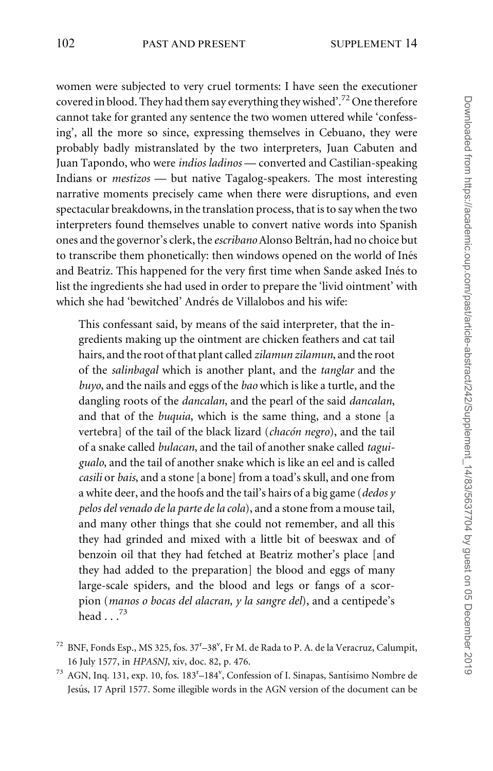women were subjected to very cruel torments: I have seen the executioner covered in blood. They had them say everything they wished'.<sup>72</sup> One therefore cannot take for granted any sentence the two women uttered while 'confessing', all the more so since, expressing themselves in Cebuano, they were probably badly mistranslated by the two interpreters, Juan Cabuten and Juan Tapondo, who were indios ladinos — converted and Castilian-speaking Indians or mestizos — but native Tagalog-speakers. The most interesting narrative moments precisely came when there were disruptions, and even spectacular breakdowns, in the translation process, that is to say when the two interpreters found themselves unable to convert native words into Spanish ones and the governor's clerk, the *escribano* Alonso Beltrán, had no choice but to transcribe them phonetically: then windows opened on the world of Inés and Beatriz. This happened for the very first time when Sande asked Inés to list the ingredients she had used in order to prepare the 'livid ointment' with which she had 'bewitched' Andrés de Villalobos and his wife:

This confessant said, by means of the said interpreter, that the ingredients making up the ointment are chicken feathers and cat tail hairs, and the root of that plant called zilamun zilamun, and the root of the salinbagal which is another plant, and the tanglar and the buyo, and the nails and eggs of the bao which is like a turtle, and the dangling roots of the *dancalan*, and the pearl of the said *dancalan*, and that of the buquia, which is the same thing, and a stone [a vertebra] of the tail of the black lizard (*chacón negro*), and the tail of a snake called bulacan, and the tail of another snake called taguigualo, and the tail of another snake which is like an eel and is called casili or bais, and a stone [a bone] from a toad's skull, and one from a white deer, and the hoofs and the tail's hairs of a big game (dedos  $y$ ) pelos del venado de la parte de la cola), and a stone from a mouse tail, and many other things that she could not remember, and all this they had grinded and mixed with a little bit of beeswax and of benzoin oil that they had fetched at Beatriz mother's place [and they had added to the preparation] the blood and eggs of many large-scale spiders, and the blood and legs or fangs of a scorpion (manos o bocas del alacran, y la sangre del), and a centipede's head  $\ldots$ <sup>73</sup>

 $^{72}$  BNF, Fonds Esp., MS 325, fos. 37<sup>r</sup>-38<sup>v</sup>, Fr M. de Rada to P. A. de la Veracruz, Calumpit, 16 July 1577, in HPASNJ, xiv, doc. 82, p. 476.

<sup>73</sup> AGN, Inq. 131, exp. 10, fos. 183<sup>r</sup>-184<sup>v</sup>, Confession of I. Sinapas, Santísimo Nombre de Jesús, 17 April 1577. Some illegible words in the AGN version of the document can be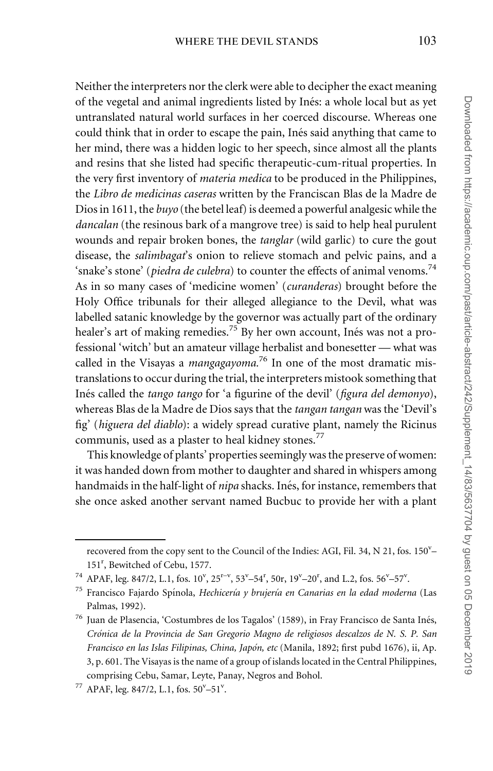Neither the interpreters nor the clerk were able to decipher the exact meaning of the vegetal and animal ingredients listed by Inés: a whole local but as yet untranslated natural world surfaces in her coerced discourse. Whereas one could think that in order to escape the pain, Inés said anything that came to her mind, there was a hidden logic to her speech, since almost all the plants and resins that she listed had specific therapeutic-cum-ritual properties. In the very first inventory of materia medica to be produced in the Philippines, the Libro de medicinas caseras written by the Franciscan Blas de la Madre de Dios in 1611, the buyo (the betel leaf) is deemed a powerful analgesic while the dancalan (the resinous bark of a mangrove tree) is said to help heal purulent wounds and repair broken bones, the *tanglar* (wild garlic) to cure the gout disease, the *salimbagat*'s onion to relieve stomach and pelvic pains, and a 'snake's stone' (piedra de culebra) to counter the effects of animal venoms.<sup>74</sup> As in so many cases of 'medicine women' (curanderas) brought before the Holy Office tribunals for their alleged allegiance to the Devil, what was labelled satanic knowledge by the governor was actually part of the ordinary healer's art of making remedies.<sup>75</sup> By her own account, Inés was not a professional 'witch' but an amateur village herbalist and bonesetter — what was called in the Visayas a *mangagayoma*.<sup>76</sup> In one of the most dramatic mistranslations to occur during the trial, the interpreters mistook something that Inés called the *tango tango* for 'a figurine of the devil' (*figura del demonyo*), whereas Blas de la Madre de Dios says that the tangan tangan was the 'Devil's fig' (higuera del diablo): a widely spread curative plant, namely the Ricinus communis, used as a plaster to heal kidney stones.<sup>77</sup>

This knowledge of plants' properties seemingly was the preserve of women: it was handed down from mother to daughter and shared in whispers among handmaids in the half-light of *nipa* shacks. Inés, for instance, remembers that she once asked another servant named Bucbuc to provide her with a plant

recovered from the copy sent to the Council of the Indies: AGI, Fil. 34, N 21, fos. 150"-151<sup>r</sup> , Bewitched of Cebu, 1577.

<sup>&</sup>lt;sup>74</sup> APAF, leg. 847/2, L.1, fos.  $10^{v}$ ,  $25^{r-v}$ ,  $53^{v}-54^{r}$ ,  $50r$ ,  $19^{v}-20^{r}$ , and L.2, fos.  $56^{v}-57^{v}$ .

 $75$  Francisco Fajardo Spínola, Hechicería y brujería en Canarias en la edad moderna (Las Palmas, 1992).

 $^{76}$ Juan de Plasencia, 'Costumbres de los Tagalos' (1589), in Fray Francisco de Santa Inés, Crónica de la Provincia de San Gregorio Magno de religiosos descalzos de N. S. P. San Francisco en las Islas Filipinas, China, Japo´n, etc (Manila, 1892; first pubd 1676), ii, Ap. 3, p. 601. The Visayas is the name of a group of islands located in the Central Philippines, comprising Cebu, Samar, Leyte, Panay, Negros and Bohol.

<sup>&</sup>lt;sup>77</sup> APAF, leg. 847/2, L.1, fos.  $50^{\circ} - 51^{\circ}$ .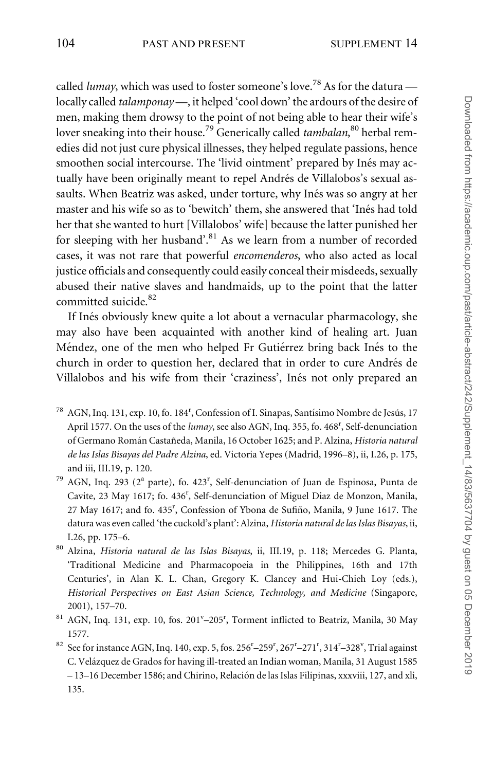called lumay, which was used to foster someone's love.<sup>78</sup> As for the datura  $$ locally called *talamponay* —, it helped 'cool down' the ardours of the desire of men, making them drowsy to the point of not being able to hear their wife's lover sneaking into their house.<sup>79</sup> Generically called *tambalan*,<sup>80</sup> herbal remedies did not just cure physical illnesses, they helped regulate passions, hence smoothen social intercourse. The 'livid ointment' prepared by Inés may actually have been originally meant to repel Andrés de Villalobos's sexual assaults. When Beatriz was asked, under torture, why Inés was so angry at her master and his wife so as to 'bewitch' them, she answered that 'Inés had told her that she wanted to hurt [Villalobos' wife] because the latter punished her for sleeping with her husband'. $81$  As we learn from a number of recorded cases, it was not rare that powerful encomenderos, who also acted as local justice officials and consequently could easily conceal their misdeeds, sexually abused their native slaves and handmaids, up to the point that the latter committed suicide.<sup>82</sup>

If Inés obviously knew quite a lot about a vernacular pharmacology, she may also have been acquainted with another kind of healing art. Juan Méndez, one of the men who helped Fr Gutiérrez bring back Inés to the church in order to question her, declared that in order to cure Andrés de Villalobos and his wife from their 'craziness', Inés not only prepared an

- $^{78}$  AGN, Inq. 131, exp. 10, fo. 184<sup>r</sup>, Confession of I. Sinapas, Santísimo Nombre de Jesús, 17 April 1577. On the uses of the lumay, see also AGN, Inq. 355, fo. 468<sup>r</sup>, Self-denunciation of Germano Román Castañeda, Manila, 16 October 1625; and P. Alzina, Historia natural de las Islas Bisayas del Padre Alzina, ed. Victoria Yepes (Madrid, 1996–8), ii, I.26, p. 175, and iii, III.19, p. 120.
- <sup>79</sup> AGN, Inq. 293 (2<sup>ª</sup> parte), fo. 423<sup>r</sup>, Self-denunciation of Juan de Espinosa, Punta de Cavite, 23 May 1617; fo. 436<sup>r</sup>, Self-denunciation of Miguel Diaz de Monzon, Manila, 27 May 1617; and fo. 435<sup>r</sup>, Confession of Ybona de Sufiño, Manila, 9 June 1617. The datura was even called 'the cuckold's plant': Alzina, Historia natural de las Islas Bisayas, ii, I.26, pp. 175–6.
- <sup>80</sup> Alzina, Historia natural de las Islas Bisayas, ii, III.19, p. 118; Mercedes G. Planta, 'Traditional Medicine and Pharmacopoeia in the Philippines, 16th and 17th Centuries', in Alan K. L. Chan, Gregory K. Clancey and Hui-Chieh Loy (eds.), Historical Perspectives on East Asian Science, Technology, and Medicine (Singapore, 2001), 157–70.
- <sup>81</sup> AGN, Inq. 131, exp. 10, fos. 201<sup>v</sup>-205<sup>r</sup>, Torment inflicted to Beatriz, Manila, 30 May 1577.
- $82$  See for instance AGN, Inq. 140, exp. 5, fos. 256<sup>r</sup>-259<sup>r</sup>, 267<sup>r</sup>-271<sup>r</sup>, 314<sup>r</sup>-328<sup>v</sup>, Trial against C. Velázquez de Grados for having ill-treated an Indian woman, Manila, 31 August 1585 – 13–16 December 1586; and Chirino, Relación de las Islas Filipinas, xxxviii, 127, and xli, 135.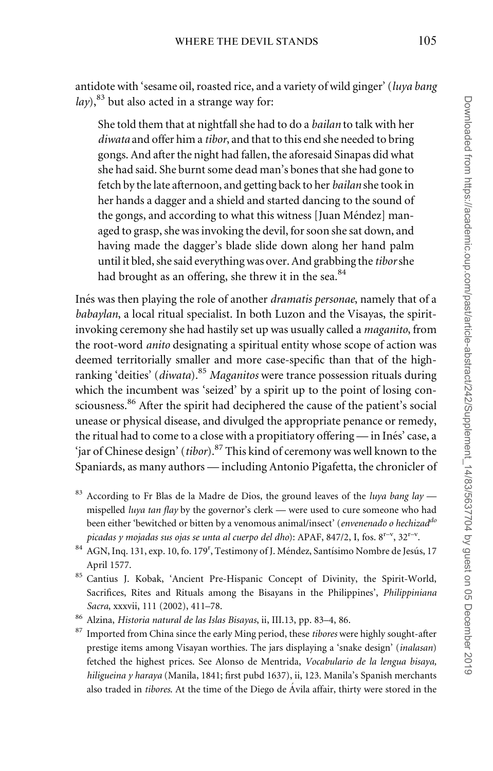antidote with 'sesame oil, roasted rice, and a variety of wild ginger' (luya bang  $lay$ <sup>83</sup> but also acted in a strange way for:

She told them that at nightfall she had to do a bailan to talk with her diwata and offer him a tibor, and that to this end she needed to bring gongs. And after the night had fallen, the aforesaid Sinapas did what she had said. She burnt some dead man's bones that she had gone to fetch by the late afternoon, and getting back to her bailan she took in her hands a dagger and a shield and started dancing to the sound of the gongs, and according to what this witness [Juan Méndez] managed to grasp, she was invoking the devil, for soon she sat down, and having made the dagger's blade slide down along her hand palm until it bled, she said everything was over. And grabbing the tiborshe had brought as an offering, she threw it in the sea. $84$ 

Inés was then playing the role of another *dramatis personae*, namely that of a babaylan, a local ritual specialist. In both Luzon and the Visayas, the spiritinvoking ceremony she had hastily set up was usually called a maganito, from the root-word anito designating a spiritual entity whose scope of action was deemed territorially smaller and more case-specific than that of the highranking 'deities' (*diwata*).<sup>85</sup> Maganitos were trance possession rituals during which the incumbent was 'seized' by a spirit up to the point of losing consciousness.<sup>86</sup> After the spirit had deciphered the cause of the patient's social unease or physical disease, and divulged the appropriate penance or remedy, the ritual had to come to a close with a propitiatory offering  $-$  in Inés' case, a 'jar of Chinese design' (tibor).<sup>87</sup> This kind of ceremony was well known to the Spaniards, as many authors — including Antonio Pigafetta, the chronicler of

- <sup>83</sup> According to Fr Blas de la Madre de Dios, the ground leaves of the luya bang lay mispelled luya tan flay by the governor's clerk - were used to cure someone who had been either 'bewitched or bitten by a venomous animal/insect' (envenenado o hechizad<sup>do</sup> picadas y mojadas sus ojas se unta al cuerpo del dho): APAF, 847/2, I, fos.  $8^{r-v}$ ,  $32^{r-v}$ .
- 84 AGN, Inq. 131, exp. 10, fo. 179<sup>r</sup>, Testimony of J. Méndez, Santísimo Nombre de Jesús, 17 April 1577.
- 85 Cantius J. Kobak, 'Ancient Pre-Hispanic Concept of Divinity, the Spirit-World, Sacrifices, Rites and Rituals among the Bisayans in the Philippines', Philippiniana Sacra, xxxvii, 111 (2002), 411–78.
- <sup>86</sup> Alzina, Historia natural de las Islas Bisayas, ii, III.13, pp. 83–4, 86.
- <sup>87</sup> Imported from China since the early Ming period, these tibores were highly sought-after prestige items among Visayan worthies. The jars displaying a 'snake design' (inalasan) fetched the highest prices. See Alonso de Mentrida, Vocabulario de la lengua bisaya, hiligueina y haraya (Manila, 1841; first pubd 1637), ii, 123. Manila's Spanish merchants also traded in *tibores*. At the time of the Diego de Ávila affair, thirty were stored in the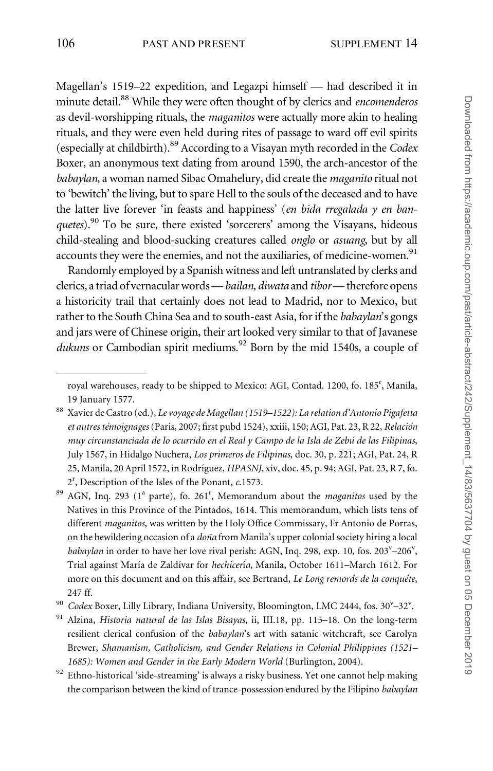Magellan's 1519–22 expedition, and Legazpi himself — had described it in minute detail.<sup>88</sup> While they were often thought of by clerics and encomenderos as devil-worshipping rituals, the maganitos were actually more akin to healing rituals, and they were even held during rites of passage to ward off evil spirits (especially at childbirth).89 According to a Visayan myth recorded in the Codex Boxer, an anonymous text dating from around 1590, the arch-ancestor of the babaylan, a woman named Sibac Omahelury, did create the maganito ritual not to 'bewitch' the living, but to spare Hell to the souls of the deceased and to have the latter live forever 'in feasts and happiness' (en bida rregalada y en banquetes).<sup>90</sup> To be sure, there existed 'sorcerers' among the Visayans, hideous child-stealing and blood-sucking creatures called onglo or asuang, but by all accounts they were the enemies, and not the auxiliaries, of medicine-women.<sup>91</sup>

Randomly employed by a Spanish witness and left untranslated by clerks and clerics, a triad of vernacular words - bailan, diwata and tibor- therefore opens a historicity trail that certainly does not lead to Madrid, nor to Mexico, but rather to the South China Sea and to south-east Asia, for if the babaylan's gongs and jars were of Chinese origin, their art looked very similar to that of Javanese dukuns or Cambodian spirit mediums.<sup>92</sup> Born by the mid 1540s, a couple of

 $^{92}$  Ethno-historical 'side-streaming' is always a risky business. Yet one cannot help making the comparison between the kind of trance-possession endured by the Filipino babaylan

royal warehouses, ready to be shipped to Mexico: AGI, Contad. 1200, fo. 185<sup>r</sup>, Manila, 19 January 1577.

<sup>88</sup> Xavier de Castro (ed.), Le voyage de Magellan (1519–1522): La relation d'Antonio Pigafetta et autres témoignages (Paris, 2007; first pubd 1524), xxiii, 150; AGI, Pat. 23, R 22, Relación muy circunstanciada de lo ocurrido en el Real y Campo de la Isla de Zebu´ de las Filipinas, July 1567, in Hidalgo Nuchera, Los primeros de Filipinas, doc. 30, p. 221; AGI, Pat. 24, R 25, Manila, 20 April 1572, in Rodríguez, HPASNJ, xiv, doc. 45, p. 94; AGI, Pat. 23, R 7, fo. 2r , Description of the Isles of the Ponant, c.1573.

 $89$  AGN, Inq. 293 (1<sup>a</sup> parte), fo. 261<sup>r</sup>, Memorandum about the *maganitos* used by the Natives in this Province of the Pintados, 1614. This memorandum, which lists tens of different maganitos, was written by the Holy Office Commissary, Fr Antonio de Porras, on the bewildering occasion of a *doña* from Manila's upper colonial society hiring a local babaylan in order to have her love rival perish: AGN, Inq. 298, exp. 10, fos. 203<sup>v</sup>-206<sup>v</sup>, Trial against María de Zaldívar for hechicería, Manila, October 1611–March 1612. For more on this document and on this affair, see Bertrand, Le Long remords de la conquête, 247 ff.

<sup>&</sup>lt;sup>90</sup> Codex Boxer, Lilly Library, Indiana University, Bloomington, LMC 2444, fos. 30<sup>v</sup>-32<sup>v</sup>.

<sup>&</sup>lt;sup>91</sup> Alzina, Historia natural de las Islas Bisayas, ii, III.18, pp. 115–18. On the long-term resilient clerical confusion of the *babaylan's* art with satanic witchcraft, see Carolyn Brewer, Shamanism, Catholicism, and Gender Relations in Colonial Philippines (1521– 1685): Women and Gender in the Early Modern World (Burlington, 2004).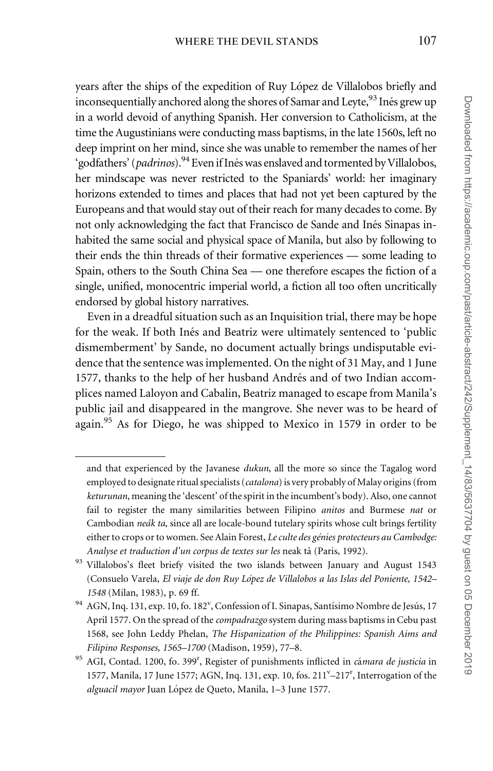years after the ships of the expedition of Ruy López de Villalobos briefly and inconsequentially anchored along the shores of Samar and Leyte, <sup>93</sup> Inés grew up in a world devoid of anything Spanish. Her conversion to Catholicism, at the time the Augustinians were conducting mass baptisms, in the late 1560s, left no deep imprint on her mind, since she was unable to remember the names of her 'godfathers' (*padrinos*).<sup>94</sup> Even if Inés was enslaved and tormented by Villalobos, her mindscape was never restricted to the Spaniards' world: her imaginary horizons extended to times and places that had not yet been captured by the Europeans and that would stay out of their reach for many decades to come. By not only acknowledging the fact that Francisco de Sande and Inés Sinapas inhabited the same social and physical space of Manila, but also by following to their ends the thin threads of their formative experiences — some leading to Spain, others to the South China Sea — one therefore escapes the fiction of a single, unified, monocentric imperial world, a fiction all too often uncritically endorsed by global history narratives.

Even in a dreadful situation such as an Inquisition trial, there may be hope for the weak. If both Inés and Beatriz were ultimately sentenced to 'public dismemberment' by Sande, no document actually brings undisputable evidence that the sentence was implemented. On the night of 31 May, and 1 June 1577, thanks to the help of her husband Andrés and of two Indian accomplices named Laloyon and Cabalin, Beatriz managed to escape from Manila's public jail and disappeared in the mangrove. She never was to be heard of again.<sup>95</sup> As for Diego, he was shipped to Mexico in 1579 in order to be

and that experienced by the Javanese dukun, all the more so since the Tagalog word employed to designate ritual specialists (catalona) is very probably of Malay origins (from keturunan, meaning the 'descent' of the spirit in the incumbent's body). Also, one cannot fail to register the many similarities between Filipino anitos and Burmese nat or Cambodian neak ta, since all are locale-bound tutelary spirits whose cult brings fertility either to crops or to women. See Alain Forest, Le culte des génies protecteurs au Cambodge: Analyse et traduction d'un corpus de textes sur les neak tâ (Paris, 1992).

<sup>93</sup> Villalobos's fleet briefy visited the two islands between January and August 1543 (Consuelo Varela, El viaje de don Ruy López de Villalobos a las Islas del Poniente, 1542– 1548 (Milan, 1983), p. 69 ff.

<sup>&</sup>lt;sup>94</sup> AGN, Inq. 131, exp. 10, fo. 182<sup>v</sup>, Confession of I. Sinapas, Santísimo Nombre de Jesús, 17 April 1577. On the spread of the *compadrazgo* system during mass baptisms in Cebu past 1568, see John Leddy Phelan, The Hispanization of the Philippines: Spanish Aims and Filipino Responses, 1565–1700 (Madison, 1959), 77–8.

<sup>&</sup>lt;sup>95</sup> AGI, Contad. 1200, fo. 399<sup>r</sup>, Register of punishments inflicted in *cámara de justicia* in 1577, Manila, 17 June 1577; AGN, Inq. 131, exp. 10, fos. 211<sup>v</sup>-217<sup>r</sup>, Interrogation of the alguacil mayor Juan López de Queto, Manila, 1-3 June 1577.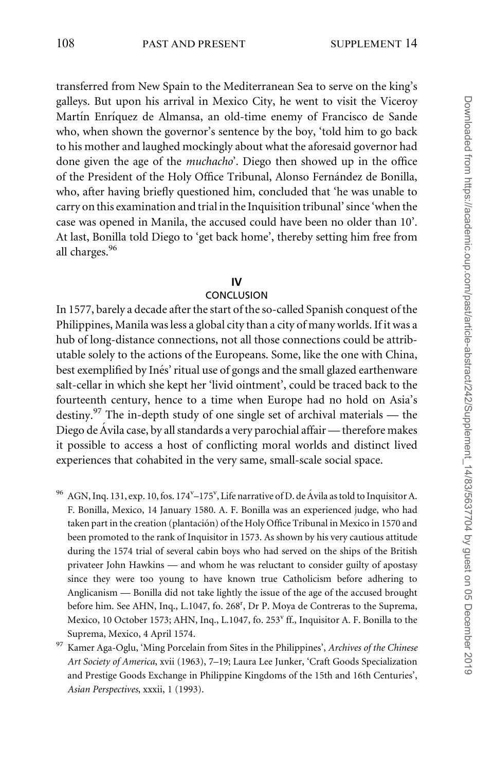transferred from New Spain to the Mediterranean Sea to serve on the king's galleys. But upon his arrival in Mexico City, he went to visit the Viceroy Martín Enríquez de Almansa, an old-time enemy of Francisco de Sande who, when shown the governor's sentence by the boy, 'told him to go back to his mother and laughed mockingly about what the aforesaid governor had done given the age of the muchacho'. Diego then showed up in the office of the President of the Holy Office Tribunal, Alonso Fernández de Bonilla, who, after having briefly questioned him, concluded that 'he was unable to carry on this examination and trial in the Inquisition tribunal' since 'when the case was opened in Manila, the accused could have been no older than 10'. At last, Bonilla told Diego to 'get back home', thereby setting him free from all charges.<sup>96</sup>

#### IV

## **CONCLUSION**

In 1577, barely a decade after the start of the so-called Spanish conquest of the Philippines, Manila was less a global city than a city of many worlds. If it was a hub of long-distance connections, not all those connections could be attributable solely to the actions of the Europeans. Some, like the one with China, best exemplified by Inés' ritual use of gongs and the small glazed earthenware salt-cellar in which she kept her 'livid ointment', could be traced back to the fourteenth century, hence to a time when Europe had no hold on Asia's destiny.<sup>97</sup> The in-depth study of one single set of archival materials — the Diego de Ávila case, by all standards a very parochial affair — therefore makes it possible to access a host of conflicting moral worlds and distinct lived experiences that cohabited in the very same, small-scale social space.

- $^{96}$  AGN, Inq. 131, exp. 10, fos. 174 $^{\rm v}$ –175 $^{\rm v}$ , Life narrative of D. de Ávila as told to Inquisitor A. F. Bonilla, Mexico, 14 January 1580. A. F. Bonilla was an experienced judge, who had taken part in the creation (plantación) of the Holy Office Tribunal in Mexico in 1570 and been promoted to the rank of Inquisitor in 1573. As shown by his very cautious attitude during the 1574 trial of several cabin boys who had served on the ships of the British privateer John Hawkins — and whom he was reluctant to consider guilty of apostasy since they were too young to have known true Catholicism before adhering to Anglicanism — Bonilla did not take lightly the issue of the age of the accused brought before him. See AHN, Inq., L.1047, fo. 268<sup>r</sup>, Dr P. Moya de Contreras to the Suprema, Mexico, 10 October 1573; AHN, Inq., L.1047, fo. 253<sup>v</sup> ff., Inquisitor A. F. Bonilla to the Suprema, Mexico, 4 April 1574.
- <sup>97</sup> Kamer Aga-Oglu, 'Ming Porcelain from Sites in the Philippines', Archives of the Chinese Art Society of America, xvii (1963), 7–19; Laura Lee Junker, 'Craft Goods Specialization and Prestige Goods Exchange in Philippine Kingdoms of the 15th and 16th Centuries', Asian Perspectives, xxxii, 1 (1993).